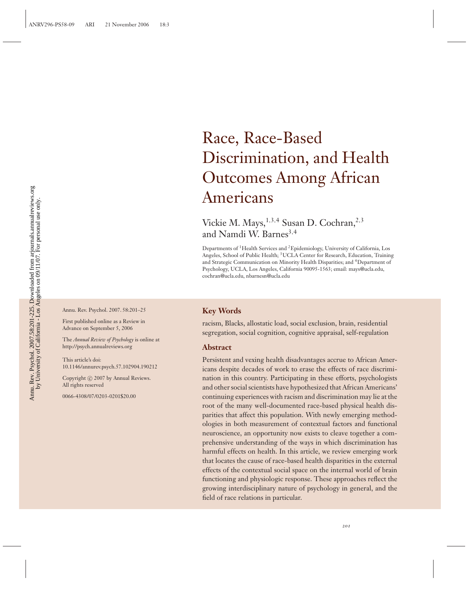# Race, Race-Based Discrimination, and Health Outcomes Among African Americans

## Vickie M. Mays, <sup>1,3,4</sup> Susan D. Cochran,<sup>2,3</sup> and Namdi W. Barnes<sup>3,4</sup>

Departments of 1Health Services and 2Epidemiology, University of California, Los Angeles, School of Public Health; 3UCLA Center for Research, Education, Training and Strategic Communication on Minority Health Disparities; and <sup>4</sup>Department of Psychology, UCLA, Los Angeles, California 90095-1563; email: mays@ucla.edu, cochran@ucla.edu, nbarnesn@ucla.edu

Annu. Rev. Psychol. 2007. 58:201–25

First published online as a Review in Advance on September 5, 2006

The *Annual Review of Psychology* is online at http://psych.annualreviews.org

This article's doi: 10.1146/annurev.psych.57.102904.190212

Copyright © 2007 by Annual Reviews. All rights reserved

0066-4308/07/0203-0201\$20.00

#### **Key Words**

racism, Blacks, allostatic load, social exclusion, brain, residential segregation, social cognition, cognitive appraisal, self-regulation

#### **Abstract**

Persistent and vexing health disadvantages accrue to African Americans despite decades of work to erase the effects of race discrimination in this country. Participating in these efforts, psychologists and other social scientists have hypothesized that African Americans' continuing experiences with racism and discrimination may lie at the root of the many well-documented race-based physical health disparities that affect this population. With newly emerging methodologies in both measurement of contextual factors and functional neuroscience, an opportunity now exists to cleave together a comprehensive understanding of the ways in which discrimination has harmful effects on health. In this article, we review emerging work that locates the cause of race-based health disparities in the external effects of the contextual social space on the internal world of brain functioning and physiologic response. These approaches reflect the growing interdisciplinary nature of psychology in general, and the field of race relations in particular.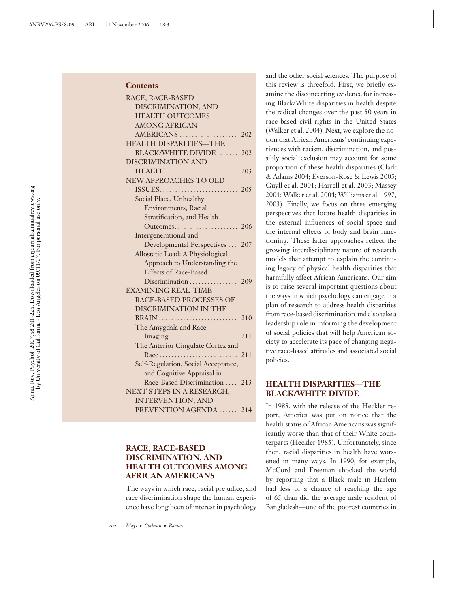#### **Contents**

| RACE, RACE-BASED                    |     |
|-------------------------------------|-----|
| DISCRIMINATION, AND                 |     |
| <b>HEALTH OUTCOMES</b>              |     |
| <b>AMONG AFRICAN</b>                |     |
| AMERICANS                           | 202 |
| HEALTH DISPARITIES-THE              |     |
| <b>BLACK/WHITE DIVIDE</b>           | 202 |
| <b>DISCRIMINATION AND</b>           |     |
| <b>HEALTH</b>                       | 203 |
| NEW APPROACHES TO OLD               |     |
|                                     |     |
| Social Place, Unhealthy             |     |
| Environments, Racial                |     |
| Stratification, and Health          |     |
|                                     |     |
| Intergenerational and               |     |
| Developmental Perspectives  207     |     |
| Allostatic Load: A Physiological    |     |
| Approach to Understanding the       |     |
| <b>Effects of Race-Based</b>        |     |
| Discrimination  209                 |     |
| <b>EXAMINING REAL-TIME</b>          |     |
| RACE-BASED PROCESSES OF             |     |
| <b>DISCRIMINATION IN THE</b>        |     |
|                                     |     |
| The Amygdala and Race               |     |
|                                     |     |
| The Anterior Cingulate Cortex and   |     |
| Race                                | 211 |
| Self-Regulation, Social Acceptance, |     |
| and Cognitive Appraisal in          |     |
| Race-Based Discrimination  213      |     |
| NEXT STEPS IN A RESEARCH,           |     |
| <b>INTERVENTION, AND</b>            |     |
| PREVENTION AGENDA                   | 214 |

#### **RACE, RACE-BASED DISCRIMINATION, AND HEALTH OUTCOMES AMONG AFRICAN AMERICANS**

The ways in which race, racial prejudice, and race discrimination shape the human experience have long been of interest in psychology

and the other social sciences. The purpose of this review is threefold. First, we briefly examine the disconcerting evidence for increasing Black/White disparities in health despite the radical changes over the past 50 years in race-based civil rights in the United States (Walker et al. 2004). Next, we explore the notion that African Americans' continuing experiences with racism, discrimination, and possibly social exclusion may account for some proportion of these health disparities (Clark & Adams 2004; Everson-Rose & Lewis 2005; Guyll et al. 2001; Harrell et al. 2003; Massey 2004; Walker et al. 2004; Williams et al. 1997, 2003). Finally, we focus on three emerging perspectives that locate health disparities in the external influences of social space and the internal effects of body and brain functioning. These latter approaches reflect the growing interdisciplinary nature of research models that attempt to explain the continuing legacy of physical health disparities that harmfully affect African Americans. Our aim is to raise several important questions about the ways in which psychology can engage in a plan of research to address health disparities from race-based discrimination and also take a leadership role in informing the development of social policies that will help American society to accelerate its pace of changing negative race-based attitudes and associated social policies.

#### **HEALTH DISPARITIES—THE BLACK/WHITE DIVIDE**

In 1985, with the release of the Heckler report, America was put on notice that the health status of African Americans was significantly worse than that of their White counterparts (Heckler 1985). Unfortunately, since then, racial disparities in health have worsened in many ways. In 1990, for example, McCord and Freeman shocked the world by reporting that a Black male in Harlem had less of a chance of reaching the age of 65 than did the average male resident of Bangladesh—one of the poorest countries in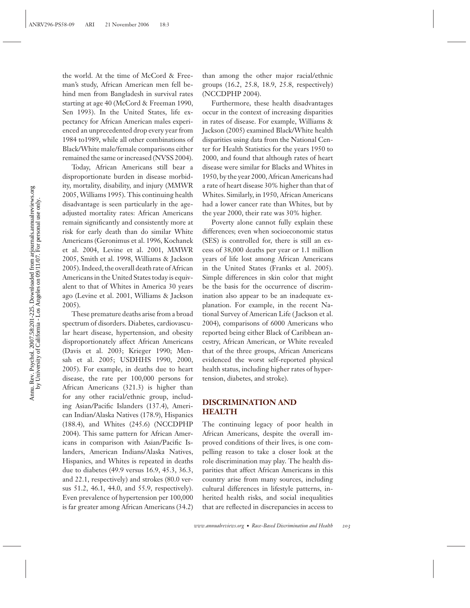the world. At the time of McCord & Freeman's study, African American men fell behind men from Bangladesh in survival rates starting at age 40 (McCord & Freeman 1990, Sen 1993). In the United States, life expectancy for African American males experienced an unprecedented drop every year from 1984 to1989, while all other combinations of Black/White male/female comparisons either remained the same or increased (NVSS 2004).

Today, African Americans still bear a disproportionate burden in disease morbidity, mortality, disability, and injury (MMWR 2005, Williams 1995). This continuing health disadvantage is seen particularly in the ageadjusted mortality rates: African Americans remain significantly and consistently more at risk for early death than do similar White Americans (Geronimus et al. 1996, Kochanek et al. 2004, Levine et al. 2001, MMWR 2005, Smith et al. 1998, Williams & Jackson 2005). Indeed, the overall death rate of African Americans in the United States today is equivalent to that of Whites in America 30 years ago (Levine et al. 2001, Williams & Jackson 2005).

These premature deaths arise from a broad spectrum of disorders. Diabetes, cardiovascular heart disease, hypertension, and obesity disproportionately affect African Americans (Davis et al. 2003; Krieger 1990; Mensah et al. 2005; USDHHS 1990, 2000, 2005). For example, in deaths due to heart disease, the rate per 100,000 persons for African Americans (321.3) is higher than for any other racial/ethnic group, including Asian/Pacific Islanders (137.4), American Indian/Alaska Natives (178.9), Hispanics (188.4), and Whites (245.6) (NCCDPHP 2004). This same pattern for African Americans in comparison with Asian/Pacific Islanders, American Indians/Alaska Natives, Hispanics, and Whites is repeated in deaths due to diabetes (49.9 versus 16.9, 45.3, 36.3, and 22.1, respectively) and strokes (80.0 versus 51.2, 46.1, 44.0, and 55.9, respectively). Even prevalence of hypertension per 100,000 is far greater among African Americans (34.2)

than among the other major racial/ethnic groups (16.2, 25.8, 18.9, 25.8, respectively) (NCCDPHP 2004).

Furthermore, these health disadvantages occur in the context of increasing disparities in rates of disease. For example, Williams & Jackson (2005) examined Black/White health disparities using data from the National Center for Health Statistics for the years 1950 to 2000, and found that although rates of heart disease were similar for Blacks and Whites in 1950, by the year 2000, African Americans had a rate of heart disease 30% higher than that of Whites. Similarly, in 1950, African Americans had a lower cancer rate than Whites, but by the year 2000, their rate was 30% higher.

Poverty alone cannot fully explain these differences; even when socioeconomic status (SES) is controlled for, there is still an excess of 38,000 deaths per year or 1.1 million years of life lost among African Americans in the United States (Franks et al. 2005). Simple differences in skin color that might be the basis for the occurrence of discrimination also appear to be an inadequate explanation. For example, in the recent National Survey of American Life ( Jackson et al. 2004), comparisons of 6000 Americans who reported being either Black of Caribbean ancestry, African American, or White revealed that of the three groups, African Americans evidenced the worst self-reported physical health status, including higher rates of hypertension, diabetes, and stroke).

#### **DISCRIMINATION AND HEALTH**

The continuing legacy of poor health in African Americans, despite the overall improved conditions of their lives, is one compelling reason to take a closer look at the role discrimination may play. The health disparities that affect African Americans in this country arise from many sources, including cultural differences in lifestyle patterns, inherited health risks, and social inequalities that are reflected in discrepancies in access to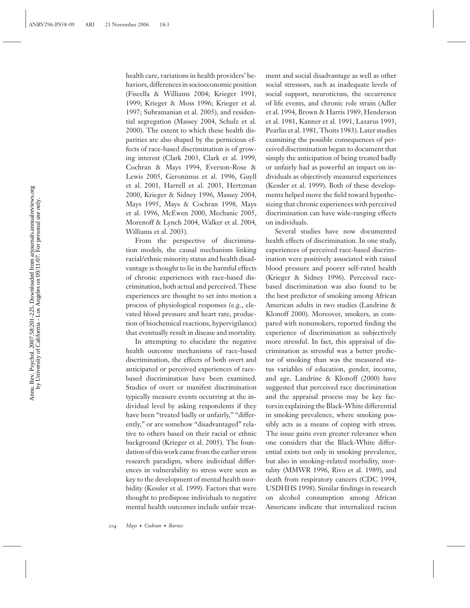health care, variations in health providers' behaviors, differences in socioeconomic position (Fiscella & Williams 2004; Krieger 1991, 1999; Krieger & Moss 1996; Krieger et al. 1997; Subramanian et al. 2005), and residential segregation (Massey 2004, Schulz et al. 2000). The extent to which these health disparities are also shaped by the pernicious effects of race-based discrimination is of growing interest (Clark 2003, Clark et al. 1999, Cochran & Mays 1994, Everson-Rose & Lewis 2005, Geronimus et al. 1996, Guyll et al. 2001, Harrell et al. 2003, Hertzman 2000, Krieger & Sidney 1996, Massey 2004, Mays 1995, Mays & Cochran 1998, Mays et al. 1996, McEwen 2000, Mechanic 2005, Morenoff & Lynch 2004, Walker et al. 2004, Williams et al. 2003).

From the perspective of discrimination models, the causal mechanism linking racial/ethnic minority status and health disadvantage is thought to lie in the harmful effects of chronic experiences with race-based discrimination, both actual and perceived. These experiences are thought to set into motion a process of physiological responses (e.g., elevated blood pressure and heart rate, production of biochemical reactions, hypervigilance) that eventually result in disease and mortality.

In attempting to elucidate the negative health outcome mechanisms of race-based discrimination, the effects of both overt and anticipated or perceived experiences of racebased discrimination have been examined. Studies of overt or manifest discrimination typically measure events occurring at the individual level by asking respondents if they have been "treated badly or unfairly," "differently," or are somehow "disadvantaged" relative to others based on their racial or ethnic background (Krieger et al. 2005). The foundation of this work came from the earlier stress research paradigm, where individual differences in vulnerability to stress were seen as key to the development of mental health morbidity (Kessler et al. 1999). Factors that were thought to predispose individuals to negative mental health outcomes include unfair treatment and social disadvantage as well as other social stressors, such as inadequate levels of social support, neuroticism, the occurrence of life events, and chronic role strain (Adler et al. 1994, Brown & Harris 1989, Henderson et al. 1981, Kanner et al. 1991, Lazarus 1993, Pearlin et al. 1981, Thoits 1983). Later studies examining the possible consequences of perceived discrimination began to document that simply the anticipation of being treated badly or unfairly had as powerful an impact on individuals as objectively measured experiences (Kessler et al. 1999). Both of these developments helped move the field toward hypothesizing that chronic experiences with perceived discrimination can have wide-ranging effects on individuals.

Several studies have now documented health effects of discrimination. In one study, experiences of perceived race-based discrimination were positively associated with raised blood pressure and poorer self-rated health (Krieger & Sidney 1996). Perceived racebased discrimination was also found to be the best predictor of smoking among African American adults in two studies (Landrine & Klonoff 2000). Moreover, smokers, as compared with nonsmokers, reported finding the experience of discrimination as subjectively more stressful. In fact, this appraisal of discrimination as stressful was a better predictor of smoking than was the measured status variables of education, gender, income, and age. Landrine & Klonoff (2000) have suggested that perceived race discrimination and the appraisal process may be key factors in explaining the Black-White differential in smoking prevalence, where smoking possibly acts as a means of coping with stress. The issue gains even greater relevance when one considers that the Black-White differential exists not only in smoking prevalence, but also in smoking-related morbidity, mortality (MMWR 1996, Rivo et al. 1989), and death from respiratory cancers (CDC 1994, USDHHS 1998). Similar findings in research on alcohol consumption among African Americans indicate that internalized racism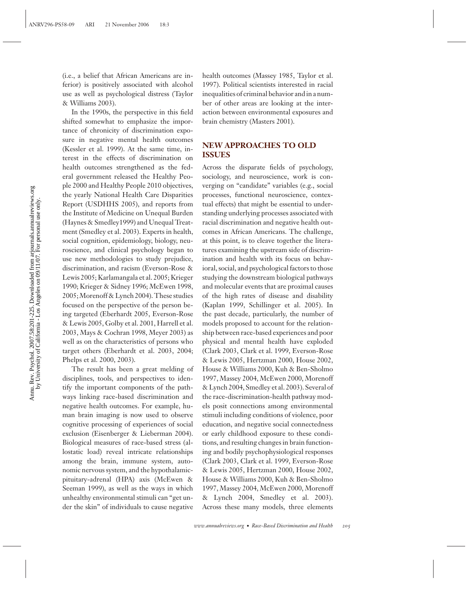(i.e., a belief that African Americans are inferior) is positively associated with alcohol use as well as psychological distress (Taylor & Williams 2003).

In the 1990s, the perspective in this field shifted somewhat to emphasize the importance of chronicity of discrimination exposure in negative mental health outcomes (Kessler et al. 1999). At the same time, interest in the effects of discrimination on health outcomes strengthened as the federal government released the Healthy People 2000 and Healthy People 2010 objectives, the yearly National Health Care Disparities Report (USDHHS 2005), and reports from the Institute of Medicine on Unequal Burden (Haynes & Smedley1999) and Unequal Treatment (Smedley et al. 2003). Experts in health, social cognition, epidemiology, biology, neuroscience, and clinical psychology began to use new methodologies to study prejudice, discrimination, and racism (Everson-Rose & Lewis 2005; Karlamangala et al. 2005; Krieger 1990; Krieger & Sidney 1996; McEwen 1998, 2005; Morenoff & Lynch 2004). These studies focused on the perspective of the person being targeted (Eberhardt 2005, Everson-Rose & Lewis 2005, Golby et al. 2001, Harrell et al. 2003, Mays & Cochran 1998, Meyer 2003) as well as on the characteristics of persons who target others (Eberhardt et al. 2003, 2004; Phelps et al. 2000, 2003).

The result has been a great melding of disciplines, tools, and perspectives to identify the important components of the pathways linking race-based discrimination and negative health outcomes. For example, human brain imaging is now used to observe cognitive processing of experiences of social exclusion (Eisenberger & Lieberman 2004). Biological measures of race-based stress (allostatic load) reveal intricate relationships among the brain, immune system, autonomic nervous system, and the hypothalamicpituitary-adrenal (HPA) axis (McEwen & Seeman 1999), as well as the ways in which unhealthy environmental stimuli can "get under the skin" of individuals to cause negative

health outcomes (Massey 1985, Taylor et al. 1997). Political scientists interested in racial inequalities of criminal behavior and in a number of other areas are looking at the interaction between environmental exposures and brain chemistry (Masters 2001).

#### **NEW APPROACHES TO OLD ISSUES**

Across the disparate fields of psychology, sociology, and neuroscience, work is converging on "candidate" variables (e.g., social processes, functional neuroscience, contextual effects) that might be essential to understanding underlying processes associated with racial discrimination and negative health outcomes in African Americans. The challenge, at this point, is to cleave together the literatures examining the upstream side of discrimination and health with its focus on behavioral, social, and psychological factors to those studying the downstream biological pathways and molecular events that are proximal causes of the high rates of disease and disability (Kaplan 1999, Schillinger et al. 2005). In the past decade, particularly, the number of models proposed to account for the relationship between race-based experiences and poor physical and mental health have exploded (Clark 2003, Clark et al. 1999, Everson-Rose & Lewis 2005, Hertzman 2000, House 2002, House & Williams 2000, Kuh & Ben-Sholmo 1997, Massey 2004, McEwen 2000, Morenoff & Lynch 2004, Smedley et al. 2003). Several of the race-discrimination-health pathway models posit connections among environmental stimuli including conditions of violence, poor education, and negative social connectedness or early childhood exposure to these conditions, and resulting changes in brain functioning and bodily psychophysiological responses (Clark 2003, Clark et al. 1999, Everson-Rose & Lewis 2005, Hertzman 2000, House 2002, House & Williams 2000, Kuh & Ben-Sholmo 1997, Massey 2004, McEwen 2000, Morenoff & Lynch 2004, Smedley et al. 2003). Across these many models, three elements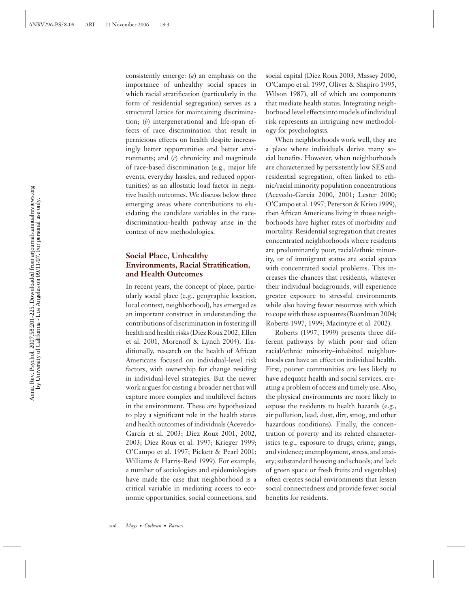consistently emerge: (*a*) an emphasis on the importance of unhealthy social spaces in which racial stratification (particularly in the form of residential segregation) serves as a structural lattice for maintaining discrimination; (*b*) intergenerational and life-span effects of race discrimination that result in pernicious effects on health despite increasingly better opportunities and better environments; and (*c*) chronicity and magnitude of race-based discrimination (e.g., major life events, everyday hassles, and reduced opportunities) as an allostatic load factor in negative health outcomes. We discuss below three emerging areas where contributions to elucidating the candidate variables in the racediscrimination-health pathway arise in the context of new methodologies.

#### **Social Place, Unhealthy Environments, Racial Stratification, and Health Outcomes**

In recent years, the concept of place, particularly social place (e.g., geographic location, local context, neighborhood), has emerged as an important construct in understanding the contributions of discrimination in fostering ill health and health risks (Diez Roux 2002, Ellen et al. 2001, Morenoff & Lynch 2004). Traditionally, research on the health of African Americans focused on individual-level risk factors, with ownership for change residing in individual-level strategies. But the newer work argues for casting a broader net that will capture more complex and multilevel factors in the environment. These are hypothesized to play a significant role in the health status and health outcomes of individuals (Acevedo-Garcia et al. 2003; Diez Roux 2001, 2002, 2003; Diez Roux et al. 1997; Krieger 1999; O'Campo et al. 1997; Pickett & Pearl 2001; Williams & Harris-Reid 1999). For example, a number of sociologists and epidemiologists have made the case that neighborhood is a critical variable in mediating access to economic opportunities, social connections, and

social capital (Diez Roux 2003, Massey 2000, O'Campo et al. 1997, Oliver & Shapiro 1995, Wilson 1987), all of which are components that mediate health status. Integrating neighborhood level effects into models of individual risk represents an intriguing new methodology for psychologists.

When neighborhoods work well, they are a place where individuals derive many social benefits. However, when neighborhoods are characterized by persistently low SES and residential segregation, often linked to ethnic/racial minority population concentrations (Acevedo-Garcia 2000, 2001; Lester 2000; O'Campo et al. 1997; Peterson & Krivo 1999), then African Americans living in those neighborhoods have higher rates of morbidity and mortality. Residential segregation that creates concentrated neighborhoods where residents are predominantly poor, racial/ethnic minority, or of immigrant status are social spaces with concentrated social problems. This increases the chances that residents, whatever their individual backgrounds, will experience greater exposure to stressful environments while also having fewer resources with which to cope with these exposures (Boardman 2004; Roberts 1997, 1999; Macintyre et al. 2002).

Roberts (1997, 1999) presents three different pathways by which poor and often racial/ethnic minority–inhabited neighborhoods can have an effect on individual health. First, poorer communities are less likely to have adequate health and social services, creating a problem of access and timely use. Also, the physical environments are more likely to expose the residents to health hazards (e.g., air pollution, lead, dust, dirt, smog, and other hazardous conditions). Finally, the concentration of poverty and its related characteristics (e.g., exposure to drugs, crime, gangs, and violence; unemployment, stress, and anxiety; substandard housing and schools; and lack of green space or fresh fruits and vegetables) often creates social environments that lessen social connectedness and provide fewer social benefits for residents.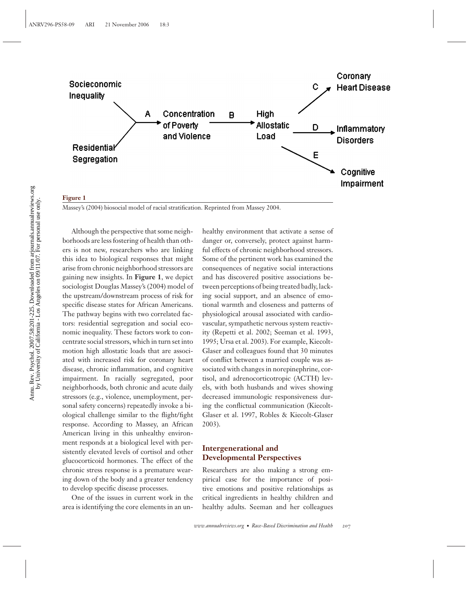

**Figure 1**

Massey's (2004) biosocial model of racial stratification. Reprinted from Massey 2004.

Although the perspective that some neighborhoods are less fostering of health than others is not new, researchers who are linking this idea to biological responses that might arise from chronic neighborhood stressors are gaining new insights. In **Figure 1**, we depict sociologist Douglas Massey's (2004) model of the upstream/downstream process of risk for specific disease states for African Americans. The pathway begins with two correlated factors: residential segregation and social economic inequality. These factors work to concentrate social stressors, which in turn set into motion high allostatic loads that are associated with increased risk for coronary heart disease, chronic inflammation, and cognitive impairment. In racially segregated, poor neighborhoods, both chronic and acute daily stressors (e.g., violence, unemployment, personal safety concerns) repeatedly invoke a biological challenge similar to the flight/fight response. According to Massey, an African American living in this unhealthy environment responds at a biological level with persistently elevated levels of cortisol and other glucocorticoid hormones. The effect of the chronic stress response is a premature wearing down of the body and a greater tendency to develop specific disease processes.

One of the issues in current work in the area is identifying the core elements in an unhealthy environment that activate a sense of danger or, conversely, protect against harmful effects of chronic neighborhood stressors. Some of the pertinent work has examined the consequences of negative social interactions and has discovered positive associations between perceptions of being treated badly, lacking social support, and an absence of emotional warmth and closeness and patterns of physiological arousal associated with cardiovascular, sympathetic nervous system reactivity (Repetti et al. 2002; Seeman et al. 1993, 1995; Ursa et al. 2003). For example, Kiecolt-Glaser and colleagues found that 30 minutes of conflict between a married couple was associated with changes in norepinephrine, cortisol, and adrenocorticotropic (ACTH) levels, with both husbands and wives showing decreased immunologic responsiveness during the conflictual communication (Kiecolt-Glaser et al. 1997, Robles & Kiecolt-Glaser 2003).

#### **Intergenerational and Developmental Perspectives**

Researchers are also making a strong empirical case for the importance of positive emotions and positive relationships as critical ingredients in healthy children and healthy adults. Seeman and her colleagues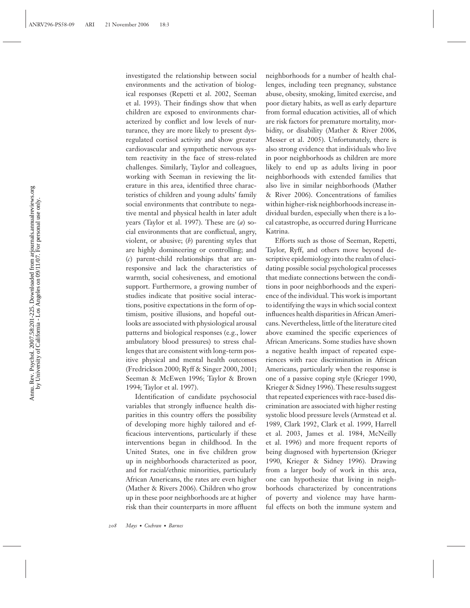Annu. Rev. Psychol. 2007.58:201-225. Downloaded from arjournals.annualreviews.org<br>by University of California - Los Angeles on 09/11/07. For personal use only. Annu. Rev. Psychol. 2007.58:201-225. Downloaded from arjournals.annualreviews.org by University of California - Los Angeles on 09/11/07. For personal use only.

investigated the relationship between social environments and the activation of biological responses (Repetti et al. 2002, Seeman et al. 1993). Their findings show that when children are exposed to environments characterized by conflict and low levels of nurturance, they are more likely to present dysregulated cortisol activity and show greater cardiovascular and sympathetic nervous system reactivity in the face of stress-related challenges. Similarly, Taylor and colleagues, working with Seeman in reviewing the literature in this area, identified three characteristics of children and young adults' family social environments that contribute to negative mental and physical health in later adult years (Taylor et al. 1997). These are (*a*) social environments that are conflictual, angry, violent, or abusive; (*b*) parenting styles that are highly domineering or controlling; and (*c*) parent-child relationships that are unresponsive and lack the characteristics of warmth, social cohesiveness, and emotional support. Furthermore, a growing number of studies indicate that positive social interactions, positive expectations in the form of optimism, positive illusions, and hopeful outlooks are associated with physiological arousal patterns and biological responses (e.g., lower ambulatory blood pressures) to stress challenges that are consistent with long-term positive physical and mental health outcomes (Fredrickson 2000; Ryff & Singer 2000, 2001; Seeman & McEwen 1996; Taylor & Brown 1994; Taylor et al. 1997).

Identification of candidate psychosocial variables that strongly influence health disparities in this country offers the possibility of developing more highly tailored and efficacious interventions, particularly if these interventions began in childhood. In the United States, one in five children grow up in neighborhoods characterized as poor, and for racial/ethnic minorities, particularly African Americans, the rates are even higher (Mather & Rivers 2006). Children who grow up in these poor neighborhoods are at higher risk than their counterparts in more affluent

neighborhoods for a number of health challenges, including teen pregnancy, substance abuse, obesity, smoking, limited exercise, and poor dietary habits, as well as early departure from formal education activities, all of which are risk factors for premature mortality, morbidity, or disability (Mather & River 2006, Messer et al. 2005). Unfortunately, there is also strong evidence that individuals who live in poor neighborhoods as children are more likely to end up as adults living in poor neighborhoods with extended families that also live in similar neighborhoods (Mather & River 2006). Concentrations of families within higher-risk neighborhoods increase individual burden, especially when there is a local catastrophe, as occurred during Hurricane Katrina.

Efforts such as those of Seeman, Repetti, Taylor, Ryff, and others move beyond descriptive epidemiology into the realm of elucidating possible social psychological processes that mediate connections between the conditions in poor neighborhoods and the experience of the individual. This work is important to identifying the ways in which social context influences health disparities in African Americans. Nevertheless, little of the literature cited above examined the specific experiences of African Americans. Some studies have shown a negative health impact of repeated experiences with race discrimination in African Americans, particularly when the response is one of a passive coping style (Krieger 1990, Krieger & Sidney 1996). These results suggest that repeated experiences with race-based discrimination are associated with higher resting systolic blood pressure levels (Armstead et al. 1989, Clark 1992, Clark et al. 1999, Harrell et al. 2003, James et al. 1984, McNeilly et al. 1996) and more frequent reports of being diagnosed with hypertension (Krieger 1990, Krieger & Sidney 1996). Drawing from a larger body of work in this area, one can hypothesize that living in neighborhoods characterized by concentrations of poverty and violence may have harmful effects on both the immune system and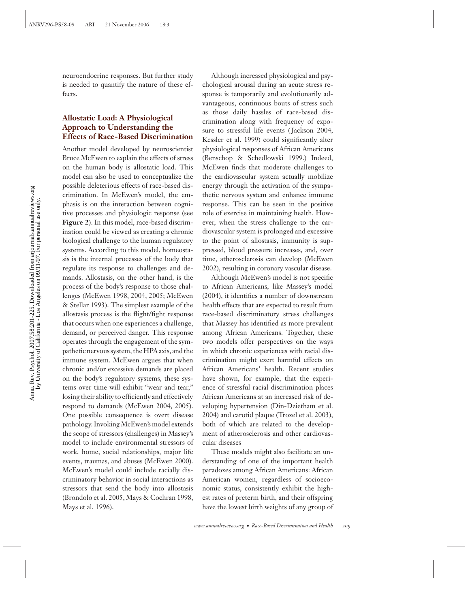neuroendocrine responses. But further study is needed to quantify the nature of these effects.

#### **Allostatic Load: A Physiological Approach to Understanding the Effects of Race-Based Discrimination**

Another model developed by neuroscientist Bruce McEwen to explain the effects of stress on the human body is allostatic load. This model can also be used to conceptualize the possible deleterious effects of race-based discrimination. In McEwen's model, the emphasis is on the interaction between cognitive processes and physiologic response (see **Figure 2**). In this model, race-based discrimination could be viewed as creating a chronic biological challenge to the human regulatory systems. According to this model, homeostasis is the internal processes of the body that regulate its response to challenges and demands. Allostasis, on the other hand, is the process of the body's response to those challenges (McEwen 1998, 2004, 2005; McEwen & Stellar 1993). The simplest example of the allostasis process is the flight/fight response that occurs when one experiences a challenge, demand, or perceived danger. This response operates through the engagement of the sympathetic nervous system, the HPA axis, and the immune system. McEwen argues that when chronic and/or excessive demands are placed on the body's regulatory systems, these systems over time will exhibit "wear and tear," losing their ability to efficiently and effectively respond to demands (McEwen 2004, 2005). One possible consequence is overt disease pathology. Invoking McEwen's model extends the scope of stressors (challenges) in Massey's model to include environmental stressors of work, home, social relationships, major life events, traumas, and abuses (McEwen 2000). McEwen's model could include racially discriminatory behavior in social interactions as stressors that send the body into allostasis (Brondolo et al. 2005, Mays & Cochran 1998, Mays et al. 1996).

Although increased physiological and psychological arousal during an acute stress response is temporarily and evolutionarily advantageous, continuous bouts of stress such as those daily hassles of race-based discrimination along with frequency of exposure to stressful life events (Jackson 2004, Kessler et al. 1999) could significantly alter physiological responses of African Americans (Benschop & Schedlowski 1999.) Indeed, McEwen finds that moderate challenges to the cardiovascular system actually mobilize energy through the activation of the sympathetic nervous system and enhance immune response. This can be seen in the positive role of exercise in maintaining health. However, when the stress challenge to the cardiovascular system is prolonged and excessive to the point of allostasis, immunity is suppressed, blood pressure increases, and, over time, atherosclerosis can develop (McEwen 2002), resulting in coronary vascular disease.

Although McEwen's model is not specific to African Americans, like Massey's model (2004), it identifies a number of downstream health effects that are expected to result from race-based discriminatory stress challenges that Massey has identified as more prevalent among African Americans. Together, these two models offer perspectives on the ways in which chronic experiences with racial discrimination might exert harmful effects on African Americans' health. Recent studies have shown, for example, that the experience of stressful racial discrimination places African Americans at an increased risk of developing hypertension (Din-Dzietham et al. 2004) and carotid plaque (Troxel et al. 2003), both of which are related to the development of atherosclerosis and other cardiovascular diseases

These models might also facilitate an understanding of one of the important health paradoxes among African Americans: African American women, regardless of socioeconomic status, consistently exhibit the highest rates of preterm birth, and their offspring have the lowest birth weights of any group of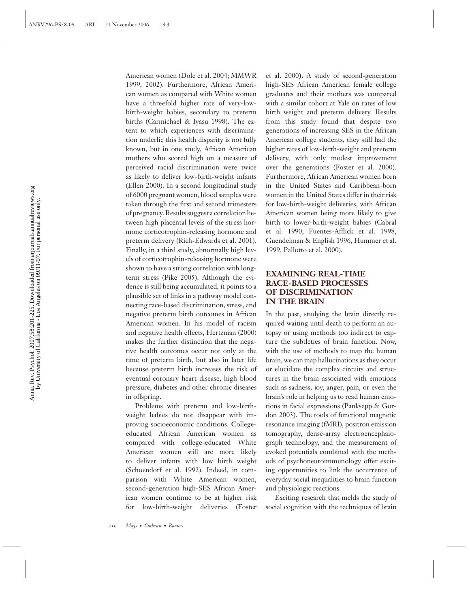American women (Dole et al. 2004; MMWR 1999, 2002). Furthermore, African American women as compared with White women have a threefold higher rate of very-lowbirth-weight babies, secondary to preterm births (Carmichael & Iyasu 1998). The extent to which experiences with discrimination underlie this health disparity is not fully known, but in one study, African American mothers who scored high on a measure of perceived racial discrimination were twice as likely to deliver low-birth-weight infants (Ellen 2000). In a second longitudinal study of 6000 pregnant women, blood samples were taken through the first and second trimesters of pregnancy. Results suggest a correlation between high placental levels of the stress hormone corticotrophin-releasing hormone and preterm delivery (Rich-Edwards et al. 2001). Finally, in a third study, abnormally high levels of corticotrophin-releasing hormone were shown to have a strong correlation with longterm stress (Pike 2005). Although the evidence is still being accumulated, it points to a plausible set of links in a pathway model connecting race-based discrimination, stress, and negative preterm birth outcomes in African American women. In his model of racism and negative health effects, Hertzman (2000) makes the further distinction that the negative health outcomes occur not only at the time of preterm birth, but also in later life because preterm birth increases the risk of eventual coronary heart disease, high blood pressure, diabetes and other chronic diseases in offspring.

Problems with preterm and low-birthweight babies do not disappear with improving socioeconomic conditions. Collegeeducated African American women as compared with college-educated White American women still are more likely to deliver infants with low birth weight (Schoendorf et al. 1992). Indeed, in comparison with White American women, second-generation high-SES African American women continue to be at higher risk for low-birth-weight deliveries (Foster

et al. 2000**).** A study of second-generation high-SES African American female college graduates and their mothers was compared with a similar cohort at Yale on rates of low birth weight and preterm delivery. Results from this study found that despite two generations of increasing SES in the African American college students, they still had the higher rates of low-birth-weight and preterm delivery, with only modest improvement over the generations (Foster et al. 2000). Furthermore, African American women born in the United States and Caribbean-born women in the United States differ in their risk for low-birth-weight deliveries, with African American women being more likely to give birth to lower-birth-weight babies (Cabral et al. 1990, Fuentes-Afflick et al. 1998, Guendelman & English 1996, Hummer et al. 1999, Pallotto et al. 2000).

#### **EXAMINING REAL-TIME RACE-BASED PROCESSES OF DISCRIMINATION IN THE BRAIN**

In the past, studying the brain directly required waiting until death to perform an autopsy or using methods too indirect to capture the subtleties of brain function. Now, with the use of methods to map the human brain, we can map hallucinations as they occur or elucidate the complex circuits and structures in the brain associated with emotions such as sadness, joy, anger, pain, or even the brain's role in helping us to read human emotions in facial expressions (Panksepp & Gordon 2003). The tools of functional magnetic resonance imaging (fMRI), positron emission tomography, dense-array electroencephalograph technology, and the measurement of evoked potentials combined with the methods of psychoneuroimmunology offer exciting opportunities to link the occurrence of everyday social inequalities to brain function and physiologic reactions.

Exciting research that melds the study of social cognition with the techniques of brain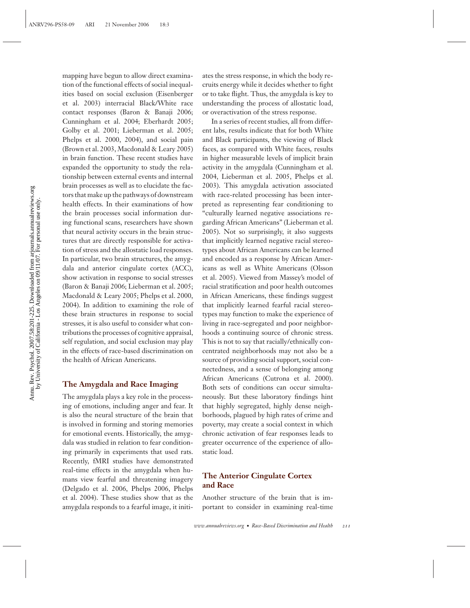mapping have begun to allow direct examination of the functional effects of social inequalities based on social exclusion (Eisenberger et al. 2003) interracial Black/White race contact responses (Baron & Banaji 2006; Cunningham et al. 2004; Eberhardt 2005; Golby et al. 2001; Lieberman et al. 2005; Phelps et al. 2000, 2004), and social pain (Brown et al. 2003, Macdonald & Leary 2005) in brain function. These recent studies have expanded the opportunity to study the relationship between external events and internal brain processes as well as to elucidate the factors that make up the pathways of downstream health effects. In their examinations of how the brain processes social information during functional scans, researchers have shown that neural activity occurs in the brain structures that are directly responsible for activation of stress and the allostatic load responses. In particular, two brain structures, the amygdala and anterior cingulate cortex (ACC), show activation in response to social stresses (Baron & Banaji 2006; Lieberman et al. 2005; Macdonald & Leary 2005; Phelps et al. 2000, 2004). In addition to examining the role of these brain structures in response to social stresses, it is also useful to consider what contributions the processes of cognitive appraisal, self regulation, and social exclusion may play in the effects of race-based discrimination on the health of African Americans.

#### **The Amygdala and Race Imaging**

The amygdala plays a key role in the processing of emotions, including anger and fear. It is also the neural structure of the brain that is involved in forming and storing memories for emotional events. Historically, the amygdala was studied in relation to fear conditioning primarily in experiments that used rats. Recently, fMRI studies have demonstrated real-time effects in the amygdala when humans view fearful and threatening imagery (Delgado et al. 2006, Phelps 2006, Phelps et al. 2004). These studies show that as the amygdala responds to a fearful image, it initiates the stress response, in which the body recruits energy while it decides whether to fight or to take flight. Thus, the amygdala is key to understanding the process of allostatic load, or overactivation of the stress response.

In a series of recent studies, all from different labs, results indicate that for both White and Black participants, the viewing of Black faces, as compared with White faces, results in higher measurable levels of implicit brain activity in the amygdala (Cunningham et al. 2004, Lieberman et al. 2005, Phelps et al. 2003). This amygdala activation associated with race-related processing has been interpreted as representing fear conditioning to "culturally learned negative associations regarding African Americans" (Lieberman et al. 2005). Not so surprisingly, it also suggests that implicitly learned negative racial stereotypes about African Americans can be learned and encoded as a response by African Americans as well as White Americans (Olsson et al. 2005). Viewed from Massey's model of racial stratification and poor health outcomes in African Americans, these findings suggest that implicitly learned fearful racial stereotypes may function to make the experience of living in race-segregated and poor neighborhoods a continuing source of chronic stress. This is not to say that racially/ethnically concentrated neighborhoods may not also be a source of providing social support, social connectedness, and a sense of belonging among African Americans (Cutrona et al. 2000). Both sets of conditions can occur simultaneously. But these laboratory findings hint that highly segregated, highly dense neighborhoods, plagued by high rates of crime and poverty, may create a social context in which chronic activation of fear responses leads to greater occurrence of the experience of allostatic load.

#### **The Anterior Cingulate Cortex and Race**

Another structure of the brain that is important to consider in examining real-time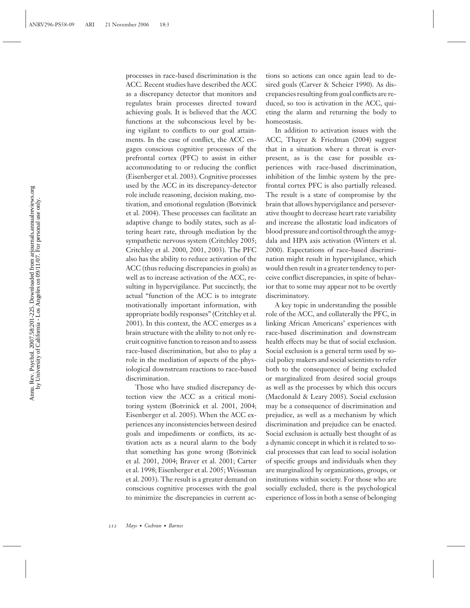processes in race-based discrimination is the ACC. Recent studies have described the ACC as a discrepancy detector that monitors and regulates brain processes directed toward achieving goals. It is believed that the ACC functions at the subconscious level by being vigilant to conflicts to our goal attainments. In the case of conflict, the ACC engages conscious cognitive processes of the prefrontal cortex (PFC) to assist in either accommodating to or reducing the conflict (Eisenberger et al. 2003). Cognitive processes used by the ACC in its discrepancy-detector role include reasoning, decision making, motivation, and emotional regulation (Botvinick et al. 2004). These processes can facilitate an adaptive change to bodily states, such as altering heart rate, through mediation by the sympathetic nervous system (Critchley 2005; Critchley et al. 2000, 2001, 2003). The PFC also has the ability to reduce activation of the ACC (thus reducing discrepancies in goals) as well as to increase activation of the ACC, resulting in hypervigilance. Put succinctly, the actual "function of the ACC is to integrate motivationally important information, with appropriate bodily responses" (Critchley et al. 2001). In this context, the ACC emerges as a brain structure with the ability to not only recruit cognitive function to reason and to assess race-based discrimination, but also to play a role in the mediation of aspects of the physiological downstream reactions to race-based discrimination.

Those who have studied discrepancy detection view the ACC as a critical monitoring system (Botvinick et al. 2001, 2004; Eisenberger et al. 2005). When the ACC experiences any inconsistencies between desired goals and impediments or conflicts, its activation acts as a neural alarm to the body that something has gone wrong (Botvinick et al. 2001, 2004; Braver et al. 2001; Carter et al. 1998; Eisenberger et al. 2005; Weissman et al. 2003). The result is a greater demand on conscious cognitive processes with the goal to minimize the discrepancies in current actions so actions can once again lead to desired goals (Carver & Scheier 1990). As discrepancies resulting from goal conflicts are reduced, so too is activation in the ACC, quieting the alarm and returning the body to homeostasis.

In addition to activation issues with the ACC, Thayer & Friedman (2004) suggest that in a situation where a threat is everpresent, as is the case for possible experiences with race-based discrimination, inhibition of the limbic system by the prefrontal cortex PFC is also partially released. The result is a state of compromise by the brain that allows hypervigilance and perseverative thought to decrease heart rate variability and increase the allostatic load indicators of blood pressure and cortisol through the amygdala and HPA axis activation (Winters et al. 2000). Expectations of race-based discrimination might result in hypervigilance, which would then result in a greater tendency to perceive conflict discrepancies, in spite of behavior that to some may appear not to be overtly discriminatory.

A key topic in understanding the possible role of the ACC, and collaterally the PFC, in linking African Americans' experiences with race-based discrimination and downstream health effects may be that of social exclusion. Social exclusion is a general term used by social policy makers and social scientists to refer both to the consequence of being excluded or marginalized from desired social groups as well as the processes by which this occurs (Macdonald & Leary 2005). Social exclusion may be a consequence of discrimination and prejudice, as well as a mechanism by which discrimination and prejudice can be enacted. Social exclusion is actually best thought of as a dynamic concept in which it is related to social processes that can lead to social isolation of specific groups and individuals when they are marginalized by organizations, groups, or institutions within society. For those who are socially excluded, there is the psychological experience of loss in both a sense of belonging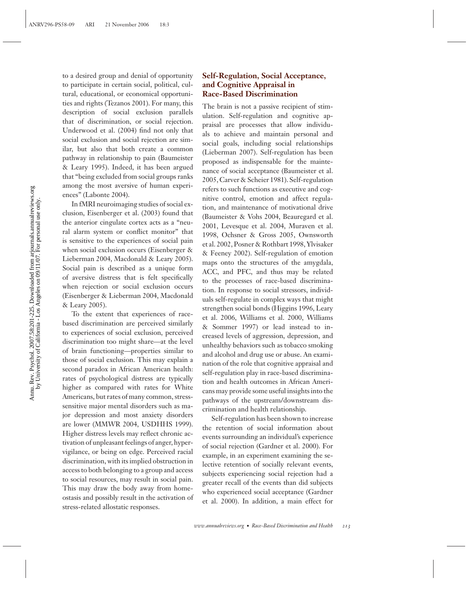to a desired group and denial of opportunity to participate in certain social, political, cultural, educational, or economical opportunities and rights (Tezanos 2001). For many, this description of social exclusion parallels that of discrimination, or social rejection. Underwood et al. (2004) find not only that social exclusion and social rejection are similar, but also that both create a common pathway in relationship to pain (Baumeister & Leary 1995). Indeed, it has been argued that "being excluded from social groups ranks among the most aversive of human experiences" (Labonte 2004).

In fMRI neuroimaging studies of social exclusion, Eisenberger et al. (2003) found that the anterior cingulate cortex acts as a "neural alarm system or conflict monitor" that is sensitive to the experiences of social pain when social exclusion occurs (Eisenberger & Lieberman 2004, Macdonald & Leary 2005). Social pain is described as a unique form of aversive distress that is felt specifically when rejection or social exclusion occurs (Eisenberger & Lieberman 2004, Macdonald & Leary 2005).

To the extent that experiences of racebased discrimination are perceived similarly to experiences of social exclusion, perceived discrimination too might share—at the level of brain functioning—properties similar to those of social exclusion. This may explain a second paradox in African American health: rates of psychological distress are typically higher as compared with rates for White Americans, but rates of many common, stresssensitive major mental disorders such as major depression and most anxiety disorders are lower (MMWR 2004, USDHHS 1999). Higher distress levels may reflect chronic activation of unpleasant feelings of anger, hypervigilance, or being on edge. Perceived racial discrimination, with its implied obstruction in access to both belonging to a group and access to social resources, may result in social pain. This may draw the body away from homeostasis and possibly result in the activation of stress-related allostatic responses.

#### **Self-Regulation, Social Acceptance, and Cognitive Appraisal in Race-Based Discrimination**

The brain is not a passive recipient of stimulation. Self-regulation and cognitive appraisal are processes that allow individuals to achieve and maintain personal and social goals, including social relationships (Lieberman 2007). Self-regulation has been proposed as indispensable for the maintenance of social acceptance (Baumeister et al. 2005, Carver & Scheier 1981). Self-regulation refers to such functions as executive and cognitive control, emotion and affect regulation, and maintenance of motivational drive (Baumeister & Vohs 2004, Beauregard et al. 2001, Levesque et al. 2004, Muraven et al. 1998, Ochsner & Gross 2005, Ownsworth et al. 2002, Posner & Rothbart 1998, Ylvisaker & Feeney 2002). Self-regulation of emotion maps onto the structures of the amygdala, ACC, and PFC, and thus may be related to the processes of race-based discrimination. In response to social stressors, individuals self-regulate in complex ways that might strengthen social bonds (Higgins 1996, Leary et al. 2006, Williams et al. 2000, Williams & Sommer 1997) or lead instead to increased levels of aggression, depression, and unhealthy behaviors such as tobacco smoking and alcohol and drug use or abuse. An examination of the role that cognitive appraisal and self-regulation play in race-based discrimination and health outcomes in African Americans may provide some useful insights into the pathways of the upstream/downstream discrimination and health relationship.

Self-regulation has been shown to increase the retention of social information about events surrounding an individual's experience of social rejection (Gardner et al. 2000). For example, in an experiment examining the selective retention of socially relevant events, subjects experiencing social rejection had a greater recall of the events than did subjects who experienced social acceptance (Gardner et al. 2000). In addition, a main effect for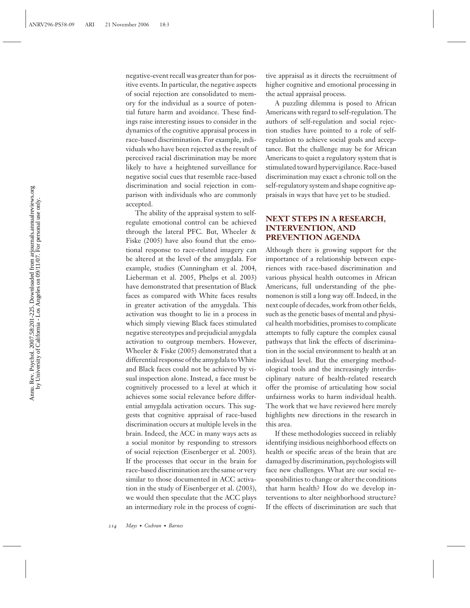negative-event recall was greater than for positive events. In particular, the negative aspects of social rejection are consolidated to memory for the individual as a source of potential future harm and avoidance. These findings raise interesting issues to consider in the dynamics of the cognitive appraisal process in race-based discrimination. For example, individuals who have been rejected as the result of perceived racial discrimination may be more likely to have a heightened surveillance for negative social cues that resemble race-based discrimination and social rejection in comparison with individuals who are commonly accepted.

The ability of the appraisal system to selfregulate emotional control can be achieved through the lateral PFC. But, Wheeler & Fiske (2005) have also found that the emotional response to race-related imagery can be altered at the level of the amygdala. For example, studies (Cunningham et al. 2004, Lieberman et al. 2005, Phelps et al. 2003) have demonstrated that presentation of Black faces as compared with White faces results in greater activation of the amygdala. This activation was thought to lie in a process in which simply viewing Black faces stimulated negative stereotypes and prejudicial amygdala activation to outgroup members. However, Wheeler & Fiske (2005) demonstrated that a differential response of the amygdala to White and Black faces could not be achieved by visual inspection alone. Instead, a face must be cognitively processed to a level at which it achieves some social relevance before differential amygdala activation occurs. This suggests that cognitive appraisal of race-based discrimination occurs at multiple levels in the brain. Indeed, the ACC in many ways acts as a social monitor by responding to stressors of social rejection (Eisenberger et al. 2003). If the processes that occur in the brain for race-based discrimination are the same or very similar to those documented in ACC activation in the study of Eisenberger et al. (2003), we would then speculate that the ACC plays an intermediary role in the process of cognitive appraisal as it directs the recruitment of higher cognitive and emotional processing in the actual appraisal process.

A puzzling dilemma is posed to African Americans with regard to self-regulation. The authors of self-regulation and social rejection studies have pointed to a role of selfregulation to achieve social goals and acceptance. But the challenge may be for African Americans to quiet a regulatory system that is stimulated toward hypervigilance. Race-based discrimination may exact a chronic toll on the self-regulatory system and shape cognitive appraisals in ways that have yet to be studied.

#### **NEXT STEPS IN A RESEARCH, INTERVENTION, AND PREVENTION AGENDA**

Although there is growing support for the importance of a relationship between experiences with race-based discrimination and various physical health outcomes in African Americans, full understanding of the phenomenon is still a long way off. Indeed, in the next couple of decades, work from other fields, such as the genetic bases of mental and physical health morbidities, promises to complicate attempts to fully capture the complex causal pathways that link the effects of discrimination in the social environment to health at an individual level. But the emerging methodological tools and the increasingly interdisciplinary nature of health-related research offer the promise of articulating how social unfairness works to harm individual health. The work that we have reviewed here merely highlights new directions in the research in this area.

If these methodologies succeed in reliably identifying insidious neighborhood effects on health or specific areas of the brain that are damaged by discrimination, psychologists will face new challenges. What are our social responsibilities to change or alter the conditions that harm health? How do we develop interventions to alter neighborhood structure? If the effects of discrimination are such that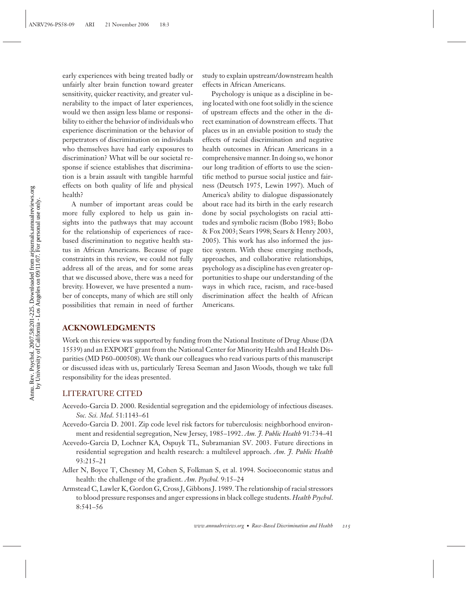early experiences with being treated badly or unfairly alter brain function toward greater sensitivity, quicker reactivity, and greater vulnerability to the impact of later experiences, would we then assign less blame or responsibility to either the behavior of individuals who experience discrimination or the behavior of perpetrators of discrimination on individuals who themselves have had early exposures to discrimination? What will be our societal response if science establishes that discrimination is a brain assault with tangible harmful effects on both quality of life and physical health?

A number of important areas could be more fully explored to help us gain insights into the pathways that may account for the relationship of experiences of racebased discrimination to negative health status in African Americans. Because of page constraints in this review, we could not fully address all of the areas, and for some areas that we discussed above, there was a need for brevity. However, we have presented a number of concepts, many of which are still only possibilities that remain in need of further study to explain upstream/downstream health effects in African Americans.

Psychology is unique as a discipline in being located with one foot solidly in the science of upstream effects and the other in the direct examination of downstream effects. That places us in an enviable position to study the effects of racial discrimination and negative health outcomes in African Americans in a comprehensive manner. In doing so, we honor our long tradition of efforts to use the scientific method to pursue social justice and fairness (Deutsch 1975, Lewin 1997). Much of America's ability to dialogue dispassionately about race had its birth in the early research done by social psychologists on racial attitudes and symbolic racism (Bobo 1983; Bobo & Fox 2003; Sears 1998; Sears & Henry 2003, 2005). This work has also informed the justice system. With these emerging methods, approaches, and collaborative relationships, psychology as a discipline has even greater opportunities to shape our understanding of the ways in which race, racism, and race-based discrimination affect the health of African Americans.

#### **ACKNOWLEDGMENTS**

Work on this review was supported by funding from the National Institute of Drug Abuse (DA 15539) and an EXPORT grant from the National Center for Minority Health and Health Disparities (MD P60–000508). We thank our colleagues who read various parts of this manuscript or discussed ideas with us, particularly Teresa Seeman and Jason Woods, though we take full responsibility for the ideas presented.

#### LITERATURE CITED

- Acevedo-Garcia D. 2000. Residential segregation and the epidemiology of infectious diseases. *Soc. Sci. Med*. 51:1143–61
- Acevedo-Garcia D. 2001. Zip code level risk factors for tuberculosis: neighborhood environment and residential segregation, New Jersey, 1985–1992. *Am. J. Public Health* 91:734–41
- Acevedo-Garcia D, Lochner KA, Ospuyk TL, Subramanian SV. 2003. Future directions in residential segregation and health research: a multilevel approach. *Am. J. Public Health* 93:215–21
- Adler N, Boyce T, Chesney M, Cohen S, Folkman S, et al. 1994. Socioeconomic status and health: the challenge of the gradient. *Am. Psychol.* 9:15–24
- Armstead C, Lawler K, Gordon G, Cross J, Gibbons J. 1989. The relationship of racial stressors to blood pressure responses and anger expressions in black college students. *Health Psychol*. 8:541–56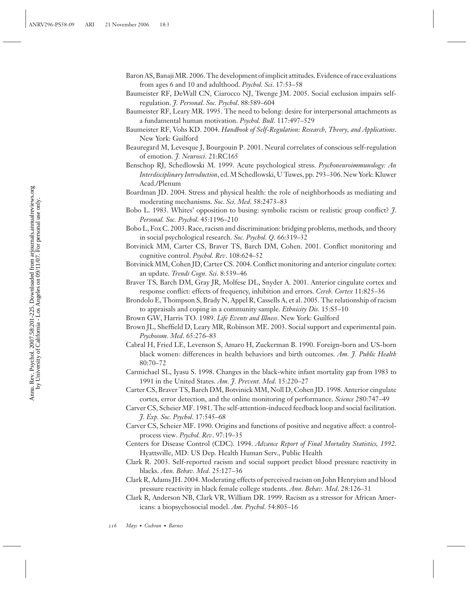- Baron AS, Banaji MR. 2006. The development of implicit attitudes. Evidence of race evaluations from ages 6 and 10 and adulthood. *Psychol. Sci*. 17:53–58
- Baumeister RF, DeWall CN, Ciarocco NJ, Twenge JM. 2005. Social exclusion impairs selfregulation. *J. Personal. Soc. Psychol*. 88:589–604
- Baumeister RF, Leary MR. 1995. The need to belong: desire for interpersonal attachments as a fundamental human motivation. *Psychol. Bull*. 117:497–529
- Baumeister RF, Vohs KD. 2004. *Handbook of Self-Regulation: Research, Theory, and Applications*. New York: Guilford
- Beauregard M, Levesque J, Bourgouin P. 2001. Neural correlates of conscious self-regulation of emotion. *J. Neurosci.* 21:RC165
- Benschop RJ, Schedlowski M. 1999. Acute psychological stress. *Psychoneuroimmunology: An Interdisciplinary Introduction*, ed. M Schedlowski, U Tuwes, pp. 293–306. New York: Kluwer Acad./Plenum
- Boardman JD. 2004. Stress and physical health: the role of neighborhoods as mediating and moderating mechanisms. *Soc. Sci. Med*. 58:2473–83
- Bobo L. 1983. Whites' opposition to busing: symbolic racism or realistic group conflict? *J*. *Personal. Soc. Psychol*. 45:1196–210
- Bobo L, Fox C. 2003. Race, racism and discrimination: bridging problems, methods, and theory in social psychological research. *Soc. Psychol. Q*. 66:319–32
- Botvinick MM, Carter CS, Braver TS, Barch DM, Cohen. 2001. Conflict monitoring and cognitive control. *Psychol. Rev*. 108:624–52
- Botvinick MM, Cohen JD, Carter CS. 2004. Conflict monitoring and anterior cingulate cortex: an update. *Trends Cogn. Sci*. 8:539–46
- Braver TS, Barch DM, Gray JR, Molfese DL, Snyder A. 2001. Anterior cingulate cortex and response conflict: effects of frequency, inhibition and errors. *Cereb. Cortex* 11:825–36
- Brondolo E, Thompson S, Brady N, Appel R, Cassells A, et al. 2005. The relationship of racism to appraisals and coping in a community sample. *Ethnicity Dis.* 15:S5–10
- Brown GW, Harris TO. 1989. *Life Events and Illness*. New York: Guilford
- Brown JL, Sheffield D, Leary MR, Robinson ME. 2003. Social support and experimental pain. *Psychosom. Med*. 65:276–83
- Cabral H, Fried LE, Levenson S, Amaro H, Zuckerman B. 1990. Foreign-born and US-born black women: differences in health behaviors and birth outcomes. *Am. J. Public Health* 80:70–72
- Carmichael SL, Iyasu S. 1998. Changes in the black-white infant mortality gap from 1983 to 1991 in the United States. *Am. J. Prevent. Med*. 15:220–27
- Carter CS, Braver TS, Barch DM, Botvinick MM, Noll D, Cohen JD. 1998. Anterior cingulate cortex, error detection, and the online monitoring of performance. *Science* 280:747–49
- Carver CS, Scheier MF. 1981. The self-attention-induced feedback loop and social facilitation. *J. Exp. Soc. Psychol*. 17:545–68
- Carver CS, Scheier MF. 1990. Origins and functions of positive and negative affect: a controlprocess view. *Psychol. Rev*. 97:19–35
- Centers for Disease Control (CDC). 1994. *Advance Report of Final Mortality Statistics, 1992*. Hyattsville, MD: US Dep. Health Human Serv., Public Health
- Clark R. 2003. Self-reported racism and social support predict blood pressure reactivity in blacks. *Ann. Behav. Med*. 25:127–36
- Clark R, Adams JH. 2004. Moderating effects of perceived racism on John Henryism and blood pressure reactivity in black female college students. *Ann. Behav. Med*. 28:126–31
- Clark R, Anderson NB, Clark VR, William DR. 1999. Racism as a stressor for African Americans: a biopsychosocial model. *Am. Psychol*. 54:805–16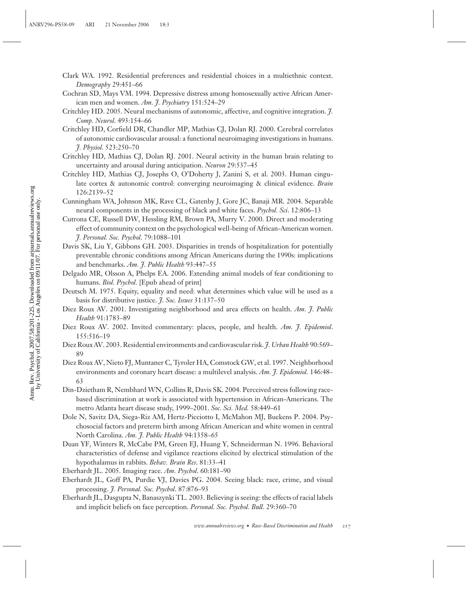- Clark WA. 1992. Residential preferences and residential choices in a multiethnic context. *Demography* 29:451–66
- Cochran SD, Mays VM. 1994. Depressive distress among homosexually active African American men and women. *Am. J. Psychiatry* 151:524–29
- Critchley HD. 2005. Neural mechanisms of autonomic, affective, and cognitive integration. *J. Comp. Neurol*. 493:154–66
- Critchley HD, Corfield DR, Chandler MP, Mathias CJ, Dolan RJ. 2000. Cerebral correlates of autonomic cardiovascular arousal: a functional neuroimaging investigations in humans. *J. Physiol*. 523:250–70
- Critchley HD, Mathias CJ, Dolan RJ. 2001. Neural activity in the human brain relating to uncertainty and arousal during anticipation. *Neuron* 29:537–45
- Critchley HD, Mathias CJ, Josephs O, O'Doherty J, Zanini S, et al. 2003. Human cingulate cortex & autonomic control: converging neuroimaging & clinical evidence. *Brain* 126:2139–52
- Cunningham WA, Johnson MK, Rave CL, Gatenby J, Gore JC, Banaji MR. 2004. Separable neural components in the processing of black and white faces. *Psychol. Sci*. 12:806–13
- Cutrona CE, Russell DW, Hessling RM, Brown PA, Murry V. 2000. Direct and moderating effect of community context on the psychological well-being of African-American women. *J. Personal. Soc. Psychol*. 79:1088–101
- Davis SK, Liu Y, Gibbons GH. 2003. Disparities in trends of hospitalization for potentially preventable chronic conditions among African Americans during the 1990s: implications and benchmarks. *Am. J. Public Health* 93:447–55
- Delgado MR, Olsson A, Phelps EA. 2006. Extending animal models of fear conditioning to humans. *Biol. Psychol.* [Epub ahead of print]
- Deutsch M. 1975. Equity, equality and need: what determines which value will be used as a basis for distributive justice. *J*. *Soc. Issues* 31:137–50
- Diez Roux AV. 2001. Investigating neighborhood and area effects on health. *Am. J. Public Health* 91:1783–89
- Diez Roux AV. 2002. Invited commentary: places, people, and health. *Am. J. Epidemiol*. 155:516–19
- Diez Roux AV. 2003. Residential environments and cardiovascular risk. *J. Urban Health* 90:569– 89
- Diez Roux AV, Nieto FJ, Muntaner C, Tyroler HA, Comstock GW, et al. 1997. Neighborhood environments and coronary heart disease: a multilevel analysis. *Am. J. Epidemiol.* 146:48– 63
- Din-Dzietham R, Nembhard WN, Collins R, Davis SK. 2004. Perceived stress following racebased discrimination at work is associated with hypertension in African-Americans. The metro Atlanta heart disease study, 1999–2001. *Soc. Sci. Med.* 58:449–61
- Dole N, Savitz DA, Siega-Riz AM, Hertz-Picciotto I, McMahon MJ, Buekens P. 2004. Psychosocial factors and preterm birth among African American and white women in central North Carolina. *Am. J. Public Health* 94:1358–65
- Duan YF, Winters R, McCabe PM, Green EJ, Huang Y, Schneiderman N. 1996. Behavioral characteristics of defense and vigilance reactions elicited by electrical stimulation of the hypothalamus in rabbits. *Behav. Brain Res*. 81:33–41
- Eberhardt JL. 2005. Imaging race. *Am. Psychol*. 60:181–90
- Eberhardt JL, Goff PA, Purdie VJ, Davies PG. 2004. Seeing black: race, crime, and visual processing. *J. Personal. Soc. Psychol*. 87:876–93
- Eberhardt JL, Dasgupta N, Banaszynki TL. 2003. Believing is seeing: the effects of racial labels and implicit beliefs on face perception. *Personal. Soc. Psychol. Bull*. 29:360–70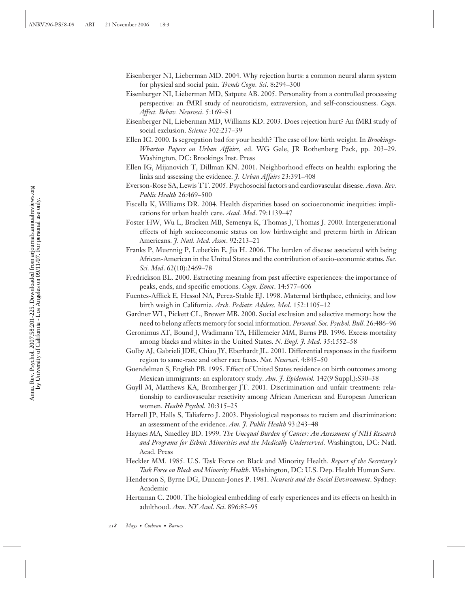- Eisenberger NI, Lieberman MD. 2004. Why rejection hurts: a common neural alarm system for physical and social pain. *Trends Cogn. Sci*. 8:294–300
- Eisenberger NI, Lieberman MD, Satpute AB. 2005. Personality from a controlled processing perspective: an fMRI study of neuroticism, extraversion, and self-consciousness. *Cogn. Affect. Behav. Neurosci*. 5:169–81
- Eisenberger NI, Lieberman MD, Williams KD. 2003. Does rejection hurt? An fMRI study of social exclusion. *Science* 302:237–39
- Ellen IG. 2000. Is segregation bad for your health? The case of low birth weight. In *Brookings-Wharton Papers on Urban Affairs*, ed. WG Gale, JR Rothenberg Pack, pp. 203–29. Washington, DC: Brookings Inst. Press
- Ellen IG, Mijanovich T, Dillman KN. 2001. Neighborhood effects on health: exploring the links and assessing the evidence. *J. Urban Affairs* 23:391–408
- Everson-Rose SA, Lewis TT. 2005. Psychosocial factors and cardiovascular disease. *Annu. Rev. Public Health* 26:469–500
- Fiscella K, Williams DR. 2004. Health disparities based on socioeconomic inequities: implications for urban health care. *Acad. Med*. 79:1139–47
- Foster HW, Wu L, Bracken MB, Semenya K, Thomas J, Thomas J. 2000. Intergenerational effects of high socioeconomic status on low birthweight and preterm birth in African Americans. *J. Natl. Med. Assoc*. 92:213–21
- Franks P, Muennig P, Lubetkin E, Jia H. 2006. The burden of disease associated with being African-American in the United States and the contribution of socio-economic status. *Soc. Sci. Med*. 62(10):2469–78
- Fredrickson BL. 2000. Extracting meaning from past affective experiences: the importance of peaks, ends, and specific emotions. *Cogn. Emot*. 14:577–606
- Fuentes-Afflick E, Hessol NA, Perez-Stable EJ. 1998. Maternal birthplace, ethnicity, and low birth weigh in California. *Arch. Pediatr. Adolesc. Med*. 152:1105–12
- Gardner WL, Pickett CL, Brewer MB. 2000. Social exclusion and selective memory: how the need to belong affects memory for social information. *Personal. Soc. Psychol. Bull*. 26:486–96
- Geronimus AT, Bound J, Wadimann TA, Hillemeier MM, Burns PB. 1996. Excess mortality among blacks and whites in the United States. *N. Engl. J. Med*. 35:1552–58
- Golby AJ, Gabrieli JDE, Chiao JY, Eberhardt JL. 2001. Differential responses in the fusiform region to same-race and other race faces. *Nat. Neurosci*. 4:845–50
- Guendelman S, English PB. 1995. Effect of United States residence on birth outcomes among Mexican immigrants: an exploratory study. *Am. J. Epidemiol.* 142(9 Suppl.):S30–38
- Guyll M, Matthews KA, Bromberger JT. 2001. Discrimination and unfair treatment: relationship to cardiovascular reactivity among African American and European American women. *Health Psychol*. 20:315–25
- Harrell JP, Halls S, Taliaferro J. 2003. Physiological responses to racism and discrimination: an assessment of the evidence. *Am. J. Public Health* 93:243–48
- Haynes MA, Smedley BD. 1999. *The Unequal Burden of Cancer: An Assessment of NIH Research and Programs for Ethnic Minorities and the Medically Underserved*. Washington, DC: Natl. Acad. Press
- Heckler MM. 1985. U.S. Task Force on Black and Minority Health. *Report of the Secretary's Task Force on Black and Minority Health*. Washington, DC: U.S. Dep. Health Human Serv.
- Henderson S, Byrne DG, Duncan-Jones P. 1981. *Neurosis and the Social Environment*. Sydney: Academic
- Hertzman C. 2000. The biological embedding of early experiences and its effects on health in adulthood. *Ann. NY Acad. Sci*. 896:85–95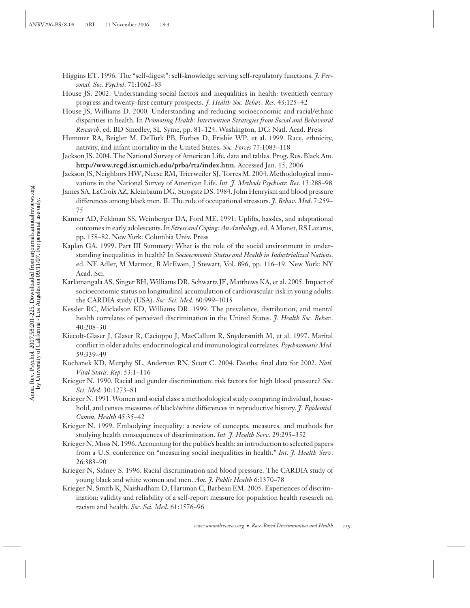- Higgins ET. 1996. The "self-digest": self-knowledge serving self-regulatory functions. *J. Personal. Soc. Psychol*. 71:1062–83
- House JS. 2002. Understanding social factors and inequalities in health: twentieth century progress and twenty-first century prospects. *J. Health Soc. Behav. Res*. 43:125–42
- House JS, Williams D. 2000. Understanding and reducing socioeconomic and racial/ethnic disparities in health. In *Promoting Health: Intervention Strategies from Social and Behavioral Research*, ed. BD Smedley, SL Syme, pp. 81–124. Washington, DC: Natl. Acad. Press
- Hummer RA, Beigler M, DeTurk PB, Forbes D, Frisbie WP, et al. 1999. Race, ethnicity, nativity, and infant mortality in the United States. *Soc. Forces* 77:1083–118
- Jackson JS. 2004. The National Survey of American Life, data and tables. Prog. Res. Black Am. **http://www.rcgd.isr.umich.edu/prba/rta/index.htm.** Accessed Jan. 15, 2006
- Jackson JS, Neighbors HW, Neese RM, Trierweiler SJ, Torres M. 2004. Methodological innovations in the National Survey of American Life. *Int. J. Methods Psychiatr. Res*. 13:288–98
- James SA, LaCroix AZ, Kleinbaum DG, Strogatz DS. 1984. John Henryism and blood pressure differences among black men. II. The role of occupational stressors. *J. Behav. Med*. 7:259– 75
- Kanner AD, Feldman SS, Weinberger DA, Ford ME. 1991. Uplifts, hassles, and adaptational outcomes in early adolescents. In *Stress and Coping: An Anthology*, ed. A Monet, RS Lazarus, pp. 158–82. New York: Columbia Univ. Press
- Kaplan GA. 1999. Part III Summary: What is the role of the social environment in understanding inequalities in health? In *Socioeconomic Status and Health in Industrialized Nations*. ed. NE Adler, M Marmot, B McEwen, J Stewart, Vol. 896, pp. 116–19. New York: NY Acad. Sci.
- Karlamangala AS, Singer BH, Williams DR, Schwartz JE, Matthews KA, et al. 2005. Impact of socioeconomic status on longitudinal accumulation of cardiovascular risk in young adults: the CARDIA study (USA). *Soc. Sci. Med.* 60:999–1015
- Kessler RC, Mickelson KD, Williams DR. 1999. The prevalence, distribution, and mental health correlates of perceived discrimination in the United States. *J. Health Soc. Behav*. 40:208–30
- Kiecolt-Glaser J, Glaser R, Cacioppo J, MacCallum R, Snydersmith M, et al. 1997. Marital conflict in older adults: endocrinological and immunological correlates. *Psychosomatic Med.* 59:339–49
- Kochanek KD, Murphy SL, Anderson RN, Scott C. 2004. Deaths: final data for 2002. *Natl. Vital Statis. Rep*. 53:1–116
- Krieger N. 1990. Racial and gender discrimination: risk factors for high blood pressure? *Soc*. *Sci. Med*. 30:1273–81
- Krieger N. 1991. Women and social class: a methodological study comparing individual, household, and census measures of black/white differences in reproductive history. *J. Epidemiol. Comm. Health* 45:35–42
- Krieger N. 1999. Embodying inequality: a review of concepts, measures, and methods for studying health consequences of discrimination. *Int. J. Health Serv*. 29:295–352
- Krieger N, Moss N. 1996. Accounting for the public's health: an introduction to selected papers from a U.S. conference on "measuring social inequalities in health." *Int. J. Health Serv*. 26:383–90
- Krieger N, Sidney S. 1996. Racial discrimination and blood pressure. The CARDIA study of young black and white women and men. *Am. J. Public Health* 6:1370–78
- Krieger N, Smith K, Naishadham D, Hartman C, Barbeau EM. 2005. Experiences of discrimination: validity and reliability of a self-report measure for population health research on racism and health. *Soc. Sci. Med*. 61:1576–96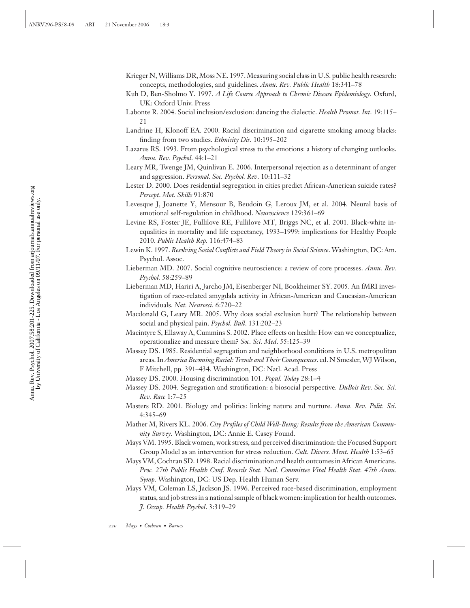- Krieger N, Williams DR, Moss NE. 1997. Measuring social class in U.S. public health research: concepts, methodologies, and guidelines. *Annu. Rev. Public Health* 18:341–78
- Kuh D, Ben-Sholmo Y. 1997. *A Life Course Approach to Chronic Disease Epidemiology*. Oxford, UK: Oxford Univ. Press
- Labonte R. 2004. Social inclusion/exclusion: dancing the dialectic. *Health Promot. Int*. 19:115– 21
- Landrine H, Klonoff EA. 2000. Racial discrimination and cigarette smoking among blacks: finding from two studies. *Ethnicity Dis*. 10:195–202
- Lazarus RS. 1993. From psychological stress to the emotions: a history of changing outlooks. *Annu. Rev. Psychol*. 44:1–21
- Leary MR, Twenge JM, Quinlivan E. 2006. Interpersonal rejection as a determinant of anger and aggression. *Personal. Soc. Psychol. Rev*. 10:111–32
- Lester D. 2000. Does residential segregation in cities predict African-American suicide rates? *Percept*. *Mot. Skills* 91:870
- Levesque J, Joanette Y, Mensour B, Beudoin G, Leroux JM, et al. 2004. Neural basis of emotional self-regulation in childhood. *Neuroscience* 129:361–69
- Levine RS, Foster JE, Fullilove RE, Fullilove MT, Briggs NC, et al. 2001. Black-white inequalities in mortality and life expectancy, 1933–1999: implications for Healthy People 2010. *Public Health Rep.* 116:474–83
- Lewin K. 1997. *Resolving Social Conflicts and Field Theory in Social Science*. Washington, DC: Am. Psychol. Assoc.
- Lieberman MD. 2007. Social cognitive neuroscience: a review of core processes. *Annu. Rev. Psychol.* 58:259–89
- Lieberman MD, Hariri A, Jarcho JM, Eisenberger NI, Bookheimer SY. 2005. An fMRI investigation of race-related amygdala activity in African-American and Caucasian-American individuals. *Nat. Neurosci*. 6:720–22
- Macdonald G, Leary MR. 2005. Why does social exclusion hurt? The relationship between social and physical pain. *Psychol. Bull*. 131:202–23
- Macintyre S, Ellaway A, Cummins S. 2002. Place effects on health: How can we conceptualize, operationalize and measure them? *Soc*. *Sci. Med*. 55:125–39
- Massey DS. 1985. Residential segregation and neighborhood conditions in U.S. metropolitan areas. In *America Becoming Racial: Trends and Their Consequences*. ed. N Smesler, WJ Wilson, F Mitchell, pp. 391–434. Washington, DC: Natl. Acad. Press
- Massey DS. 2000. Housing discrimination 101. *Popul. Today* 28:1–4
- Massey DS. 2004. Segregation and stratification: a biosocial perspective. *DuBois Rev. Soc. Sci. Rev. Race* 1:7–25
- Masters RD. 2001. Biology and politics: linking nature and nurture. *Annu. Rev. Polit. Sci*. 4:345–69
- Mather M, Rivers KL. 2006. *City Profiles of Child Well-Being: Results from the American Community Survey*. Washington, DC: Annie E. Casey Found.

Mays VM. 1995. Black women, work stress, and perceived discrimination: the Focused Support Group Model as an intervention for stress reduction. *Cult. Divers. Ment. Health* 1:53–65

- Mays VM, Cochran SD. 1998. Racial discrimination and health outcomes in African Americans. *Proc. 27th Public Health Conf. Records Stat. Natl. Committee Vital Health Stat. 47th Annu. Symp*. Washington, DC: US Dep. Health Human Serv.
- Mays VM, Coleman LS, Jackson JS. 1996. Perceived race-based discrimination, employment status, and job stress in a national sample of black women: implication for health outcomes. *J. Occup. Health Psychol*. 3:319–29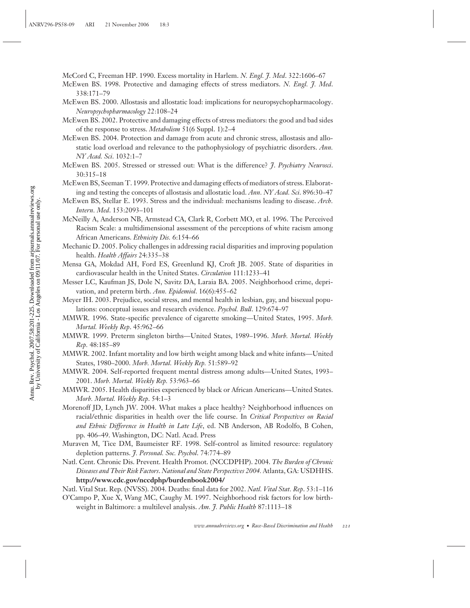McCord C, Freeman HP. 1990. Excess mortality in Harlem. *N. Engl. J. Med*. 322:1606–67

- McEwen BS. 1998. Protective and damaging effects of stress mediators. *N. Engl. J. Med*. 338:171–79
- McEwen BS. 2000. Allostasis and allostatic load: implications for neuropsychopharmacology. *Neuropsychopharmacology* 22:108–24
- McEwen BS. 2002. Protective and damaging effects of stress mediators: the good and bad sides of the response to stress. *Metabolism* 51(6 Suppl. 1):2–4
- McEwen BS. 2004. Protection and damage from acute and chronic stress, allostasis and allostatic load overload and relevance to the pathophysiology of psychiatric disorders. *Ann. NY Acad. Sci*. 1032:1–7
- McEwen BS. 2005. Stressed or stressed out: What is the difference? *J*. *Psychiatry Neurosci*. 30:315–18
- McEwen BS, Seeman T. 1999. Protective and damaging effects of mediators of stress. Elaborating and testing the concepts of allostasis and allostatic load. *Ann. NY Acad. Sci*. 896:30–47
- McEwen BS, Stellar E. 1993. Stress and the individual: mechanisms leading to disease. *Arch. Intern. Med*. 153:2093–101
- McNeilly A, Anderson NB, Armstead CA, Clark R, Corbett MO, et al. 1996. The Perceived Racism Scale: a multidimensional assessment of the perceptions of white racism among African Americans. *Ethnicity Dis.* 6:154–66
- Mechanic D. 2005. Policy challenges in addressing racial disparities and improving population health. *Health Affairs* 24:335–38
- Mensa GA, Mokdad AH, Ford ES, Greenlund KJ, Croft JB. 2005. State of disparities in cardiovascular health in the United States. *Circulation* 111:1233–41
- Messer LC, Kaufman JS, Dole N, Savitz DA, Laraia BA. 2005. Neighborhood crime, deprivation, and preterm birth. *Ann. Epidemiol*. 16(6):455–62
- Meyer IH. 2003. Prejudice, social stress, and mental health in lesbian, gay, and bisexual populations: conceptual issues and research evidence. *Psychol. Bull*. 129:674–97
- MMWR. 1996. State-specific prevalence of cigarette smoking—United States, 1995. *Morb. Mortal. Weekly Rep*. 45:962–66
- MMWR. 1999. Preterm singleton births—United States, 1989–1996. *Morb. Mortal. Weekly Rep.* 48:185–89
- MMWR. 2002. Infant mortality and low birth weight among black and white infants—United States, 1980–2000. *Morb. Mortal. Weekly Rep.* 51:589–92
- MMWR. 2004. Self-reported frequent mental distress among adults—United States, 1993– 2001. *Morb. Mortal. Weekly Rep.* 53:963–66
- MMWR. 2005. Health disparities experienced by black or African Americans—United States. *Morb. Mortal. Weekly Rep*. 54:1–3
- Morenoff JD, Lynch JW. 2004. What makes a place healthy? Neighborhood influences on racial/ethnic disparities in health over the life course. In *Critical Perspectives on Racial and Ethnic Difference in Health in Late Life*, ed. NB Anderson, AB Rodolfo, B Cohen, pp. 406–49. Washington, DC: Natl. Acad. Press
- Muraven M, Tice DM, Baumeister RF. 1998. Self-control as limited resource: regulatory depletion patterns. *J. Personal. Soc. Psychol*. 74:774–89
- Natl. Cent. Chronic Dis. Prevent. Health Promot. (NCCDPHP). 2004. *The Burden of Chronic Diseases and Their Risk Factors*. *National and State Perspectives 2004.* Atlanta, GA: USDHHS. **http://www.cdc.gov/nccdphp/burdenbook2004/**
- Natl. Vital Stat. Rep. (NVSS). 2004. Deaths: final data for 2002. *Natl. Vital Stat. Rep*. 53:1–116
- O'Campo P, Xue X, Wang MC, Caughy M. 1997. Neighborhood risk factors for low birthweight in Baltimore: a multilevel analysis. *Am. J. Public Health* 87:1113–18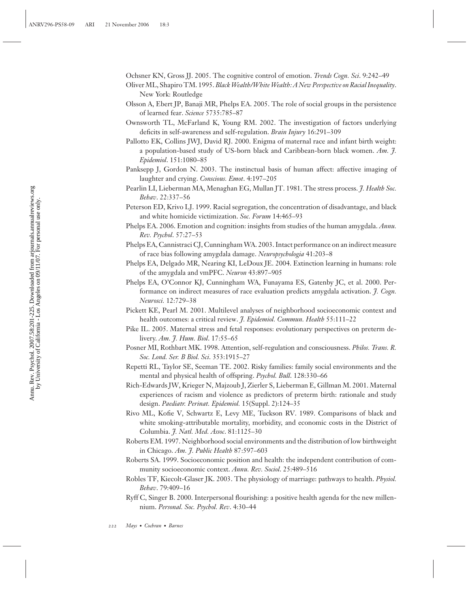Ochsner KN, Gross JJ. 2005. The cognitive control of emotion. *Trends Cogn. Sci*. 9:242–49

Oliver ML, Shapiro TM. 1995. *Black Wealth/White Wealth: A New Perspective on Racial Inequality*. New York: Routledge

- Olsson A, Ebert JP, Banaji MR, Phelps EA. 2005. The role of social groups in the persistence of learned fear. *Science* 5735:785–87
- Ownsworth TL, McFarland K, Young RM. 2002. The investigation of factors underlying deficits in self-awareness and self-regulation. *Brain Injury* 16:291–309
- Pallotto EK, Collins JWJ, David RJ. 2000. Enigma of maternal race and infant birth weight: a population-based study of US-born black and Caribbean-born black women. *Am. J. Epidemiol*. 151:1080–85
- Panksepp J, Gordon N. 2003. The instinctual basis of human affect: affective imaging of laughter and crying. *Conscious. Emot*. 4:197–205
- Pearlin LI, Lieberman MA, Menaghan EG, Mullan JT. 1981. The stress process. *J. Health Soc. Behav*. 22:337–56
- Peterson ED, Krivo LJ. 1999. Racial segregation, the concentration of disadvantage, and black and white homicide victimization. *Soc. Forum* 14:465–93
- Phelps EA. 2006. Emotion and cognition: insights from studies of the human amygdala. *Annu. Rev. Psychol*. 57:27–53
- Phelps EA, Cannistraci CJ, Cunningham WA. 2003. Intact performance on an indirect measure of race bias following amygdala damage. *Neuropsychologia* 41:203–8
- Phelps EA, Delgado MR, Nearing KI, LeDoux JE. 2004. Extinction learning in humans: role of the amygdala and vmPFC. *Neuron* 43:897–905
- Phelps EA, O'Connor KJ, Cunningham WA, Funayama ES, Gatenby JC, et al. 2000. Performance on indirect measures of race evaluation predicts amygdala activation. *J. Cogn. Neurosci.* 12:729–38
- Pickett KE, Pearl M. 2001. Multilevel analyses of neighborhood socioeconomic context and health outcomes: a critical review. *J. Epidemiol. Commun. Health* 55:111–22
- Pike IL. 2005. Maternal stress and fetal responses: evolutionary perspectives on preterm delivery. *Am. J. Hum. Biol*. 17:55–65
- Posner MI, Rothbart MK. 1998. Attention, self-regulation and consciousness. *Philos. Trans. R. Soc. Lond. Ser. B Biol. Sci*. 353:1915–27
- Repetti RL, Taylor SE, Seeman TE. 2002. Risky families: family social environments and the mental and physical health of offspring. *Psychol. Bull*. 128:330–66
- Rich-Edwards JW, Krieger N, Majzoub J, Zierler S, Lieberman E, Gillman M. 2001. Maternal experiences of racism and violence as predictors of preterm birth: rationale and study design. *Paediatr. Perinat. Epidemiol.* 15(Suppl. 2):124–35
- Rivo ML, Kofie V, Schwartz E, Levy ME, Tuckson RV. 1989. Comparisons of black and white smoking-attributable mortality, morbidity, and economic costs in the District of Columbia. *J. Natl. Med. Assoc*. 81:1125–30
- Roberts EM. 1997. Neighborhood social environments and the distribution of low birthweight in Chicago. *Am. J. Public Health* 87:597–603
- Roberts SA. 1999. Socioeconomic position and health: the independent contribution of community socioeconomic context. *Annu. Rev. Sociol*. 25:489–516
- Robles TF, Kiecolt-Glaser JK. 2003. The physiology of marriage: pathways to health. *Physiol. Behav*. 79:409–16
- Ryff C, Singer B. 2000. Interpersonal flourishing: a positive health agenda for the new millennium. *Personal. Soc. Psychol. Rev*. 4:30–44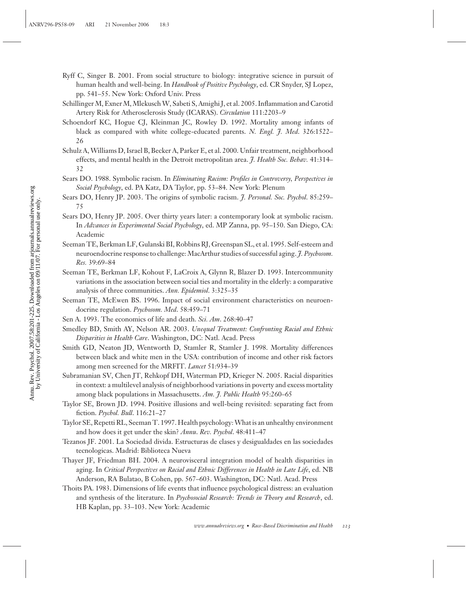- Ryff C, Singer B. 2001. From social structure to biology: integrative science in pursuit of human health and well-being. In *Handbook of Positive Psychology*, ed. CR Snyder, SJ Lopez, pp. 541–55. New York: Oxford Univ. Press
- Schillinger M, Exner M, Mlekusch W, Sabeti S, Amighi J, et al. 2005. Inflammation and Carotid Artery Risk for Atherosclerosis Study (ICARAS). *Circulation* 111:2203–9
- Schoendorf KC, Hogue CJ, Kleinman JC, Rowley D. 1992. Mortality among infants of black as compared with white college-educated parents. *N. Engl. J. Med*. 326:1522– 26
- Schulz A, Williams D, Israel B, Becker A, Parker E, et al. 2000. Unfair treatment, neighborhood effects, and mental health in the Detroit metropolitan area. *J. Health Soc. Behav.* 41:314– 32
- Sears DO. 1988. Symbolic racism. In *Eliminating Racism: Profiles in Controversy, Perspectives in Social Psychology*, ed. PA Katz, DA Taylor, pp. 53–84. New York: Plenum
- Sears DO, Henry JP. 2003. The origins of symbolic racism. *J. Personal. Soc. Psychol*. 85:259– 75
- Sears DO, Henry JP. 2005. Over thirty years later: a contemporary look at symbolic racism. In *Advances in Experimental Social Psychology*, ed. MP Zanna, pp. 95–150. San Diego, CA: Academic
- Seeman TE, Berkman LF, Gulanski BI, Robbins RJ, Greenspan SL, et al. 1995. Self-esteem and neuroendocrine response to challenge: MacArthur studies of successful aging. *J. Psychosom. Res.* 39:69–84
- Seeman TE, Berkman LF, Kohout F, LaCroix A, Glynn R, Blazer D. 1993. Intercommunity variations in the association between social ties and mortality in the elderly: a comparative analysis of three communities. *Ann. Epidemiol*. 3:325–35
- Seeman TE, McEwen BS. 1996. Impact of social environment characteristics on neuroendocrine regulation. *Psychosom. Med*. 58:459–71
- Sen A. 1993. The economics of life and death. *Sci. Am*. 268:40–47
- Smedley BD, Smith AY, Nelson AR. 2003. *Unequal Treatment: Confronting Racial and Ethnic Disparities in Health Care*. Washington, DC: Natl. Acad. Press
- Smith GD, Neaton JD, Wentworth D, Stamler R, Stamler J. 1998. Mortality differences between black and white men in the USA: contribution of income and other risk factors among men screened for the MRFIT. *Lancet* 51:934–39
- Subramanian SV, Chen JT, Rehkopf DH, Waterman PD, Krieger N. 2005. Racial disparities in context: a multilevel analysis of neighborhood variations in poverty and excess mortality among black populations in Massachusetts. *Am. J. Public Health* 95:260–65
- Taylor SE, Brown JD. 1994. Positive illusions and well-being revisited: separating fact from fiction. *Psychol. Bull*. 116:21–27
- Taylor SE, Repetti RL, Seeman T. 1997. Health psychology: What is an unhealthy environment and how does it get under the skin? *Annu*. *Rev. Psychol*. 48:411–47
- Tezanos JF. 2001. La Sociedad divida. Estructuras de clases y desigualdades en las sociedades tecnologicas. Madrid: Biblioteca Nueva
- Thayer JF, Friedman BH. 2004. A neurovisceral integration model of health disparities in aging. In *Critical Perspectives on Racial and Ethnic Differences in Health in Late Life*, ed. NB Anderson, RA Bulatao, B Cohen, pp. 567–603. Washington, DC: Natl. Acad. Press
- Thoits PA. 1983. Dimensions of life events that influence psychological distress: an evaluation and synthesis of the literature. In *Psychosocial Research: Trends in Theory and Research*, ed. HB Kaplan, pp. 33–103. New York: Academic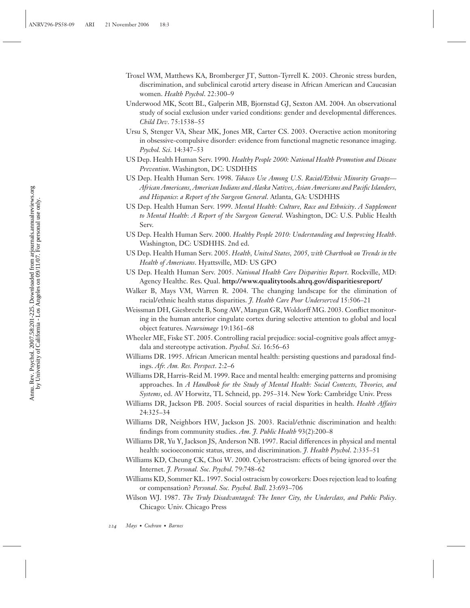- Troxel WM, Matthews KA, Bromberger JT, Sutton-Tyrrell K. 2003. Chronic stress burden, discrimination, and subclinical carotid artery disease in African American and Caucasian women. *Health Psychol*. 22:300–9
- Underwood MK, Scott BL, Galperin MB, Bjornstad GJ, Sexton AM. 2004. An observational study of social exclusion under varied conditions: gender and developmental differences. *Child Dev*. 75:1538–55
- Ursu S, Stenger VA, Shear MK, Jones MR, Carter CS. 2003. Overactive action monitoring in obsessive-compulsive disorder: evidence from functional magnetic resonance imaging. *Psychol. Sci*. 14:347–53
- US Dep. Health Human Serv. 1990. *Healthy People 2000: National Health Promotion and Disease Prevention*. Washington, DC: USDHHS
- US Dep. Health Human Serv. 1998. *Tobacco Use Among U.S*. *Racial/Ethnic Minority Groups— African Americans, American Indians and Alaska Natives, Asian Americans and Pacific Islanders, and Hispanics*: *a Report of the Surgeon General*. Atlanta, GA: USDHHS
- US Dep. Health Human Serv. 1999. *Mental Health: Culture, Race and Ethnicity*. *A Supplement to Mental Health*: *A Report of the Surgeon General*. Washington, DC: U.S. Public Health Serv.
- US Dep. Health Human Serv. 2000. *Healthy People 2010: Understanding and Improving Health*. Washington, DC: USDHHS. 2nd ed.
- US Dep. Health Human Serv. 2005. *Health, United States, 2005, with Chartbook on Trends in the Health of Americans*. Hyattsville, MD: US GPO
- US Dep. Health Human Serv. 2005. *National Health Care Disparities Report*. Rockville, MD: Agency Healthc. Res. Qual. **http://www.qualitytools.ahrq.gov/disparitiesreport/**
- Walker B, Mays VM, Warren R. 2004. The changing landscape for the elimination of racial/ethnic health status disparities. *J. Health Care Poor Underserved* 15:506–21
- Weissman DH, Giesbrecht B, Song AW, Mangun GR, Woldorff MG. 2003. Conflict monitoring in the human anterior cingulate cortex during selective attention to global and local object features. *Neuroimage* 19:1361–68
- Wheeler ME, Fiske ST. 2005. Controlling racial prejudice: social-cognitive goals affect amygdala and stereotype activation. *Psychol. Sci*. 16:56–63
- Williams DR. 1995. African American mental health: persisting questions and paradoxal findings. *Afr. Am. Res. Perspect*. 2:2–6
- Williams DR, Harris-Reid M. 1999. Race and mental health: emerging patterns and promising approaches. In *A Handbook for the Study of Mental Health: Social Contexts, Theories, and Systems*, ed. AV Horwitz, TL Schneid, pp. 295–314. New York: Cambridge Univ. Press
- Williams DR, Jackson PB. 2005. Social sources of racial disparities in health. *Health Affairs* 24:325–34
- Williams DR, Neighbors HW, Jackson JS. 2003. Racial/ethnic discrimination and health: findings from community studies. *Am. J. Public Health* 93(2):200–8
- Williams DR, Yu Y, Jackson JS, Anderson NB. 1997. Racial differences in physical and mental health: socioeconomic status, stress, and discrimination. *J. Health Psychol*. 2:335–51
- Williams KD, Cheung CK, Choi W. 2000. Cyberostracism: effects of being ignored over the Internet. *J. Personal. Soc. Psychol*. 79:748–62
- Williams KD, Sommer KL. 1997. Social ostracism by coworkers: Does rejection lead to loafing or compensation? *Personal*. *Soc. Psychol. Bull*. 23:693–706
- Wilson WJ. 1987. *The Truly Disadvantaged: The Inner City, the Underclass, and Public Policy*. Chicago: Univ. Chicago Press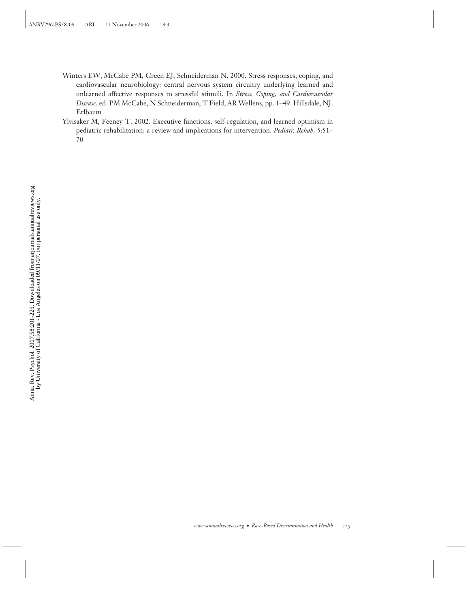- Winters EW, McCabe PM, Green EJ, Schneiderman N. 2000. Stress responses, coping, and cardiovascular neurobiology: central nervous system circuitry underlying learned and unlearned affective responses to stressful stimuli. In *Stress, Coping, and Cardiovascular Disease*. ed. PM McCabe, N Schneiderman, T Field, AR Wellens, pp. 1–49. Hillsdale, NJ: Erlbaum
- Ylvisaker M, Feeney T. 2002. Executive functions, self-regulation, and learned optimism in pediatric rehabilitation: a review and implications for intervention. *Pediatr. Rehab*. 5:51– 70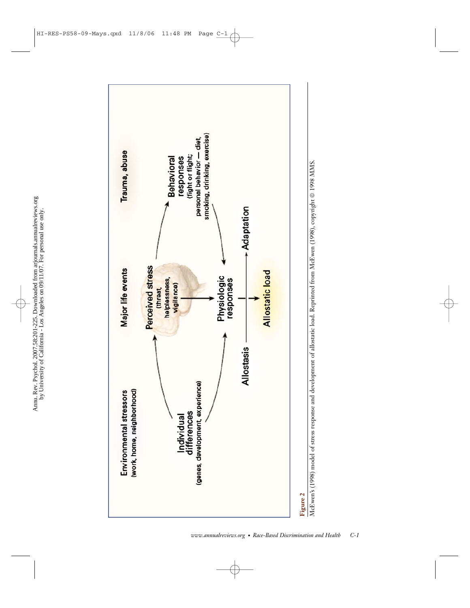Annu. Rev. Psychol. 2007.58:201-225. Downloaded from arjournals.annualreviews.org<br>by University of California - Los Angeles on 09/11/07. For personal use only. Annu. Rev. Psychol. 2007.58:201-225. Downloaded from arjournals.annualreviews.org by University of California - Los Angeles on 09/11/07. For personal use only.

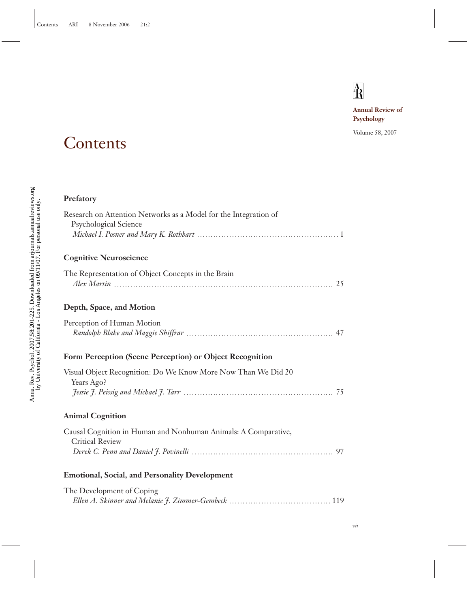

**Annual Review of Psychology**

Volume 58, 2007

## **Contents**

## **Prefatory**

| Research on Attention Networks as a Model for the Integration of |  |
|------------------------------------------------------------------|--|
| <b>Psychological Science</b>                                     |  |
|                                                                  |  |

## **Cognitive Neuroscience**

| The Representation of Object Concepts in the Brain |  |
|----------------------------------------------------|--|
|                                                    |  |

## **Depth, Space, and Motion**

| Perception of Human Motion |  |
|----------------------------|--|
|                            |  |

## **Form Perception (Scene Perception) or Object Recognition**

| Visual Object Recognition: Do We Know More Now Than We Did 20 |  |
|---------------------------------------------------------------|--|
| Years Ago?                                                    |  |
|                                                               |  |

## **Animal Cognition**

| Causal Cognition in Human and Nonhuman Animals: A Comparative, |  |
|----------------------------------------------------------------|--|
| Critical Review                                                |  |
|                                                                |  |

## **Emotional, Social, and Personality Development**

| The Development of Coping |  |
|---------------------------|--|
|                           |  |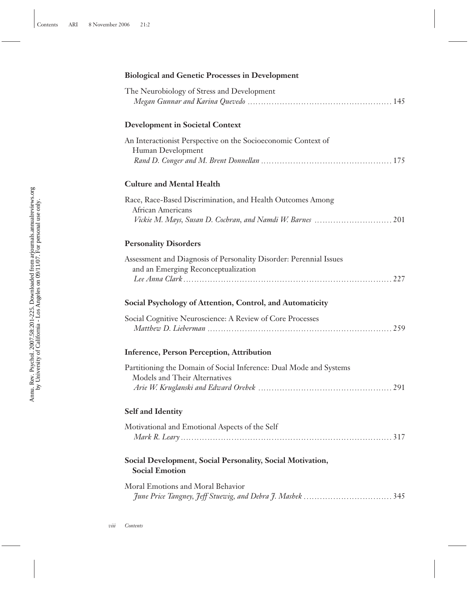## **Biological and Genetic Processes in Development**

| The Neurobiology of Stress and Development                                                                |
|-----------------------------------------------------------------------------------------------------------|
| <b>Development in Societal Context</b>                                                                    |
| An Interactionist Perspective on the Socioeconomic Context of<br>Human Development                        |
| <b>Culture and Mental Health</b>                                                                          |
| Race, Race-Based Discrimination, and Health Outcomes Among<br>African Americans                           |
| <b>Personality Disorders</b>                                                                              |
| Assessment and Diagnosis of Personality Disorder: Perennial Issues<br>and an Emerging Reconceptualization |
| Social Psychology of Attention, Control, and Automaticity                                                 |
| Social Cognitive Neuroscience: A Review of Core Processes                                                 |
| <b>Inference, Person Perception, Attribution</b>                                                          |
| Partitioning the Domain of Social Inference: Dual Mode and Systems<br>Models and Their Alternatives       |
| Self and Identity                                                                                         |
| Motivational and Emotional Aspects of the Self                                                            |
| Social Development, Social Personality, Social Motivation,<br><b>Social Emotion</b>                       |
| Moral Emotions and Moral Behavior                                                                         |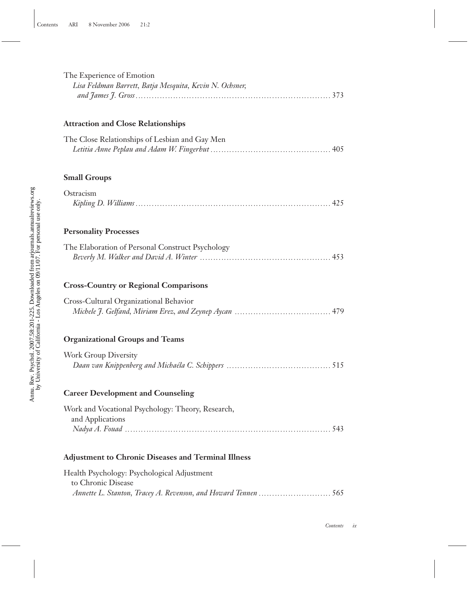| The Experience of Emotion<br>Lisa Feldman Barrett, Batja Mesquita, Kevin N. Ochsner, |
|--------------------------------------------------------------------------------------|
| <b>Attraction and Close Relationships</b>                                            |
| The Close Relationships of Lesbian and Gay Men                                       |
| <b>Small Groups</b>                                                                  |
| Ostracism                                                                            |
| <b>Personality Processes</b>                                                         |
| The Elaboration of Personal Construct Psychology                                     |
| <b>Cross-Country or Regional Comparisons</b>                                         |
| Cross-Cultural Organizational Behavior                                               |
| <b>Organizational Groups and Teams</b>                                               |
| <b>Work Group Diversity</b>                                                          |
| <b>Career Development and Counseling</b>                                             |
| Work and Vocational Psychology: Theory, Research,<br>and Applications                |
| <b>Adjustment to Chronic Diseases and Terminal Illness</b>                           |
| Health Psychology: Psychological Adjustment<br>to Chronic Disease                    |